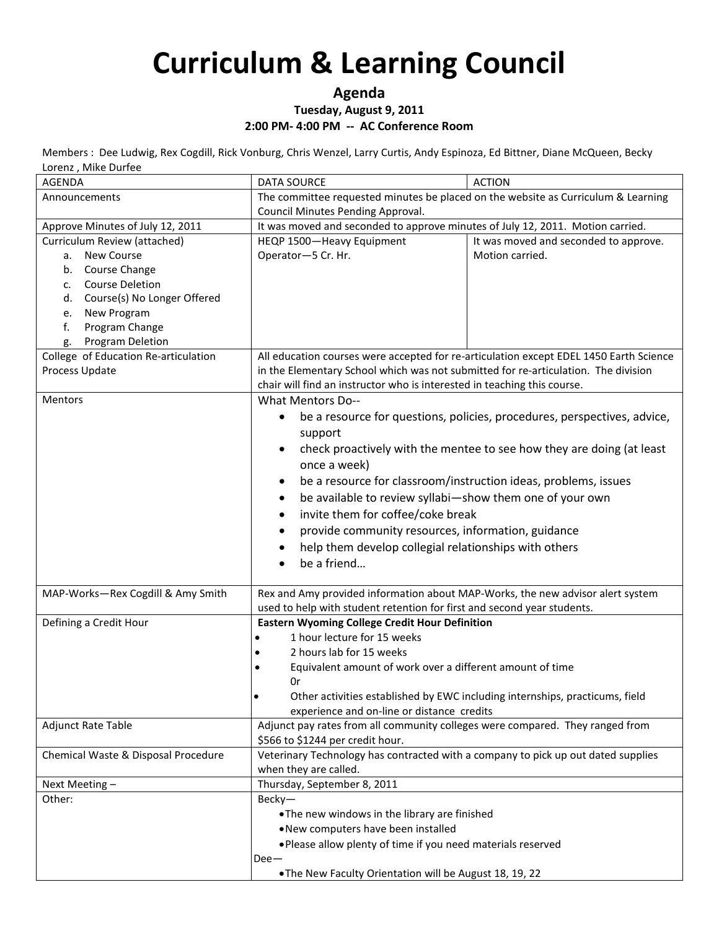### **Agenda**

### **Tuesday, August 9, 2011**

### **2:00 PM- 4:00 PM -- AC Conference Room**

Members : Dee Ludwig, Rex Cogdill, Rick Vonburg, Chris Wenzel, Larry Curtis, Andy Espinoza, Ed Bittner, Diane McQueen, Becky Lorenz , Mike Durfee

| <b>AGENDA</b>                                                  | <b>DATA SOURCE</b>                                                                     | <b>ACTION</b>                                                                |
|----------------------------------------------------------------|----------------------------------------------------------------------------------------|------------------------------------------------------------------------------|
| Announcements                                                  | The committee requested minutes be placed on the website as Curriculum & Learning      |                                                                              |
|                                                                | Council Minutes Pending Approval.                                                      |                                                                              |
| Approve Minutes of July 12, 2011                               | It was moved and seconded to approve minutes of July 12, 2011. Motion carried.         |                                                                              |
| Curriculum Review (attached)                                   | HEQP 1500-Heavy Equipment                                                              | It was moved and seconded to approve.                                        |
| <b>New Course</b><br>а.                                        | Operator-5 Cr. Hr.                                                                     | Motion carried.                                                              |
| b. Course Change                                               |                                                                                        |                                                                              |
| <b>Course Deletion</b><br>$C_{\bullet}$                        |                                                                                        |                                                                              |
| Course(s) No Longer Offered<br>d.                              |                                                                                        |                                                                              |
| New Program<br>e.                                              |                                                                                        |                                                                              |
| f.<br>Program Change                                           |                                                                                        |                                                                              |
| Program Deletion<br>g.<br>College of Education Re-articulation | All education courses were accepted for re-articulation except EDEL 1450 Earth Science |                                                                              |
| Process Update                                                 | in the Elementary School which was not submitted for re-articulation. The division     |                                                                              |
|                                                                | chair will find an instructor who is interested in teaching this course.               |                                                                              |
| Mentors                                                        | <b>What Mentors Do--</b>                                                               |                                                                              |
|                                                                |                                                                                        |                                                                              |
|                                                                | support                                                                                | be a resource for questions, policies, procedures, perspectives, advice,     |
|                                                                | $\bullet$                                                                              | check proactively with the mentee to see how they are doing (at least        |
|                                                                | once a week)                                                                           |                                                                              |
|                                                                | be a resource for classroom/instruction ideas, problems, issues<br>$\bullet$           |                                                                              |
|                                                                | be available to review syllabi-show them one of your own<br>$\bullet$                  |                                                                              |
|                                                                | invite them for coffee/coke break<br>$\bullet$                                         |                                                                              |
|                                                                | provide community resources, information, guidance                                     |                                                                              |
|                                                                | help them develop collegial relationships with others<br>٠                             |                                                                              |
|                                                                | be a friend<br>$\bullet$                                                               |                                                                              |
|                                                                |                                                                                        |                                                                              |
| MAP-Works-Rex Cogdill & Amy Smith                              | Rex and Amy provided information about MAP-Works, the new advisor alert system         |                                                                              |
|                                                                | used to help with student retention for first and second year students.                |                                                                              |
| Defining a Credit Hour                                         | <b>Eastern Wyoming College Credit Hour Definition</b>                                  |                                                                              |
|                                                                | 1 hour lecture for 15 weeks<br>$\bullet$                                               |                                                                              |
|                                                                | 2 hours lab for 15 weeks<br>٠                                                          |                                                                              |
|                                                                | Equivalent amount of work over a different amount of time<br>$\bullet$                 |                                                                              |
|                                                                | 0r                                                                                     |                                                                              |
|                                                                |                                                                                        | Other activities established by EWC including internships, practicums, field |
|                                                                | experience and on-line or distance credits                                             |                                                                              |
| <b>Adjunct Rate Table</b>                                      | Adjunct pay rates from all community colleges were compared. They ranged from          |                                                                              |
|                                                                | \$566 to \$1244 per credit hour.                                                       |                                                                              |
| Chemical Waste & Disposal Procedure                            | Veterinary Technology has contracted with a company to pick up out dated supplies      |                                                                              |
|                                                                | when they are called.                                                                  |                                                                              |
| Next Meeting-                                                  | Thursday, September 8, 2011                                                            |                                                                              |
| Other:                                                         | Becky-                                                                                 |                                                                              |
|                                                                | . The new windows in the library are finished                                          |                                                                              |
|                                                                | . New computers have been installed                                                    |                                                                              |
|                                                                | . Please allow plenty of time if you need materials reserved                           |                                                                              |
|                                                                | $Dee-$                                                                                 |                                                                              |
|                                                                | . The New Faculty Orientation will be August 18, 19, 22                                |                                                                              |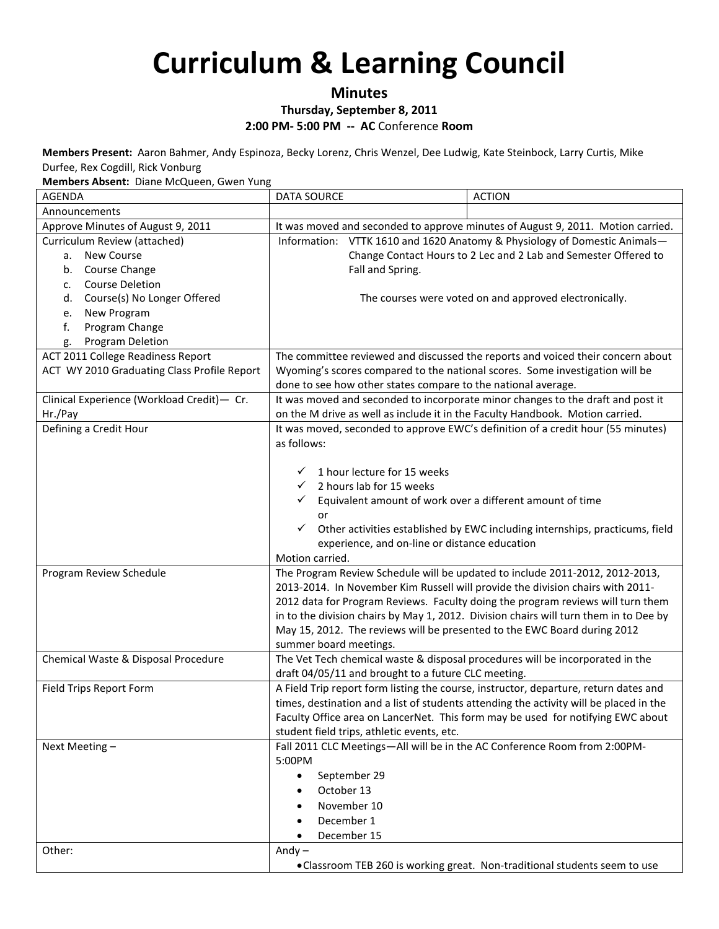### **Minutes**

#### **Thursday, September 8, 2011**

#### **2:00 PM- 5:00 PM -- AC** Conference **Room**

**Members Present:** Aaron Bahmer, Andy Espinoza, Becky Lorenz, Chris Wenzel, Dee Ludwig, Kate Steinbock, Larry Curtis, Mike Durfee, Rex Cogdill, Rick Vonburg

**Members Absent:** Diane McQueen, Gwen Yung

| <b>AGENDA</b>                               | <b>DATA SOURCE</b>                                                                  | <b>ACTION</b>                                                                          |
|---------------------------------------------|-------------------------------------------------------------------------------------|----------------------------------------------------------------------------------------|
| Announcements                               |                                                                                     |                                                                                        |
| Approve Minutes of August 9, 2011           |                                                                                     | It was moved and seconded to approve minutes of August 9, 2011. Motion carried.        |
| Curriculum Review (attached)                | Information: VTTK 1610 and 1620 Anatomy & Physiology of Domestic Animals-           |                                                                                        |
| New Course<br>а.                            |                                                                                     | Change Contact Hours to 2 Lec and 2 Lab and Semester Offered to                        |
| Course Change<br>b.                         | Fall and Spring.                                                                    |                                                                                        |
| <b>Course Deletion</b><br>$\mathsf{C}$ .    |                                                                                     |                                                                                        |
| Course(s) No Longer Offered<br>d.           |                                                                                     | The courses were voted on and approved electronically.                                 |
| New Program<br>e.                           |                                                                                     |                                                                                        |
| f.<br>Program Change                        |                                                                                     |                                                                                        |
| Program Deletion<br>g.                      |                                                                                     |                                                                                        |
| ACT 2011 College Readiness Report           |                                                                                     | The committee reviewed and discussed the reports and voiced their concern about        |
| ACT WY 2010 Graduating Class Profile Report | Wyoming's scores compared to the national scores. Some investigation will be        |                                                                                        |
|                                             | done to see how other states compare to the national average.                       |                                                                                        |
| Clinical Experience (Workload Credit)- Cr.  |                                                                                     | It was moved and seconded to incorporate minor changes to the draft and post it        |
| Hr./Pay                                     | on the M drive as well as include it in the Faculty Handbook. Motion carried.       |                                                                                        |
| Defining a Credit Hour                      |                                                                                     | It was moved, seconded to approve EWC's definition of a credit hour (55 minutes)       |
|                                             | as follows:                                                                         |                                                                                        |
|                                             |                                                                                     |                                                                                        |
|                                             | 1 hour lecture for 15 weeks<br>✓                                                    |                                                                                        |
|                                             | 2 hours lab for 15 weeks<br>$\checkmark$                                            |                                                                                        |
|                                             | Equivalent amount of work over a different amount of time<br>$\checkmark$           |                                                                                        |
|                                             | or                                                                                  |                                                                                        |
|                                             | $\checkmark$                                                                        | Other activities established by EWC including internships, practicums, field           |
|                                             | experience, and on-line or distance education                                       |                                                                                        |
|                                             | Motion carried.                                                                     |                                                                                        |
| Program Review Schedule                     |                                                                                     | The Program Review Schedule will be updated to include 2011-2012, 2012-2013,           |
|                                             | 2013-2014. In November Kim Russell will provide the division chairs with 2011-      |                                                                                        |
|                                             |                                                                                     | 2012 data for Program Reviews. Faculty doing the program reviews will turn them        |
|                                             |                                                                                     | in to the division chairs by May 1, 2012. Division chairs will turn them in to Dee by  |
|                                             | May 15, 2012. The reviews will be presented to the EWC Board during 2012            |                                                                                        |
|                                             | summer board meetings.                                                              |                                                                                        |
| Chemical Waste & Disposal Procedure         | The Vet Tech chemical waste & disposal procedures will be incorporated in the       |                                                                                        |
|                                             | draft 04/05/11 and brought to a future CLC meeting.                                 |                                                                                        |
| Field Trips Report Form                     |                                                                                     | A Field Trip report form listing the course, instructor, departure, return dates and   |
|                                             |                                                                                     | times, destination and a list of students attending the activity will be placed in the |
|                                             |                                                                                     | Faculty Office area on LancerNet. This form may be used for notifying EWC about        |
|                                             | student field trips, athletic events, etc.                                          |                                                                                        |
| Next Meeting -                              | Fall 2011 CLC Meetings-All will be in the AC Conference Room from 2:00PM-<br>5:00PM |                                                                                        |
|                                             |                                                                                     |                                                                                        |
|                                             | September 29<br>$\bullet$                                                           |                                                                                        |
|                                             | October 13                                                                          |                                                                                        |
|                                             | November 10                                                                         |                                                                                        |
|                                             | December 1                                                                          |                                                                                        |
|                                             | December 15                                                                         |                                                                                        |
| Other:                                      | Andy $-$                                                                            |                                                                                        |
|                                             |                                                                                     | •Classroom TEB 260 is working great. Non-traditional students seem to use              |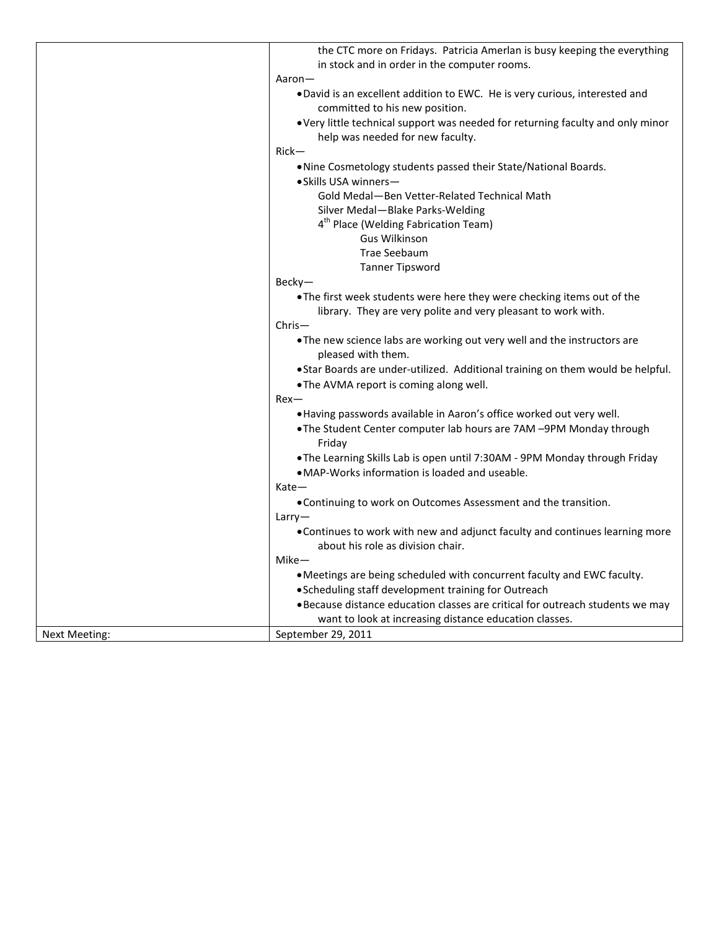|               | the CTC more on Fridays. Patricia Amerlan is busy keeping the everything        |
|---------------|---------------------------------------------------------------------------------|
|               | in stock and in order in the computer rooms.                                    |
|               | Aaron—                                                                          |
|               | . David is an excellent addition to EWC. He is very curious, interested and     |
|               | committed to his new position.                                                  |
|               | • Very little technical support was needed for returning faculty and only minor |
|               | help was needed for new faculty.                                                |
|               | $Rick-$                                                                         |
|               | . Nine Cosmetology students passed their State/National Boards.                 |
|               | • Skills USA winners-                                                           |
|               |                                                                                 |
|               | Gold Medal-Ben Vetter-Related Technical Math                                    |
|               | Silver Medal - Blake Parks-Welding                                              |
|               | 4 <sup>th</sup> Place (Welding Fabrication Team)                                |
|               | Gus Wilkinson                                                                   |
|               | <b>Trae Seebaum</b>                                                             |
|               | <b>Tanner Tipsword</b>                                                          |
|               | Becky-                                                                          |
|               | . The first week students were here they were checking items out of the         |
|               | library. They are very polite and very pleasant to work with.                   |
|               | $Christ-$                                                                       |
|               | . The new science labs are working out very well and the instructors are        |
|               | pleased with them.                                                              |
|               | . Star Boards are under-utilized. Additional training on them would be helpful. |
|               | .The AVMA report is coming along well.                                          |
|               | $Rex-$                                                                          |
|               | . Having passwords available in Aaron's office worked out very well.            |
|               | . The Student Center computer lab hours are 7AM -9PM Monday through             |
|               | Friday                                                                          |
|               | . The Learning Skills Lab is open until 7:30AM - 9PM Monday through Friday      |
|               | • MAP-Works information is loaded and useable.                                  |
|               | $Kate$ –                                                                        |
|               | . Continuing to work on Outcomes Assessment and the transition.                 |
|               | Larry                                                                           |
|               | . Continues to work with new and adjunct faculty and continues learning more    |
|               | about his role as division chair.                                               |
|               | $Mike-$                                                                         |
|               | . Meetings are being scheduled with concurrent faculty and EWC faculty.         |
|               | • Scheduling staff development training for Outreach                            |
|               | . Because distance education classes are critical for outreach students we may  |
|               | want to look at increasing distance education classes.                          |
| Next Meeting: | September 29, 2011                                                              |
|               |                                                                                 |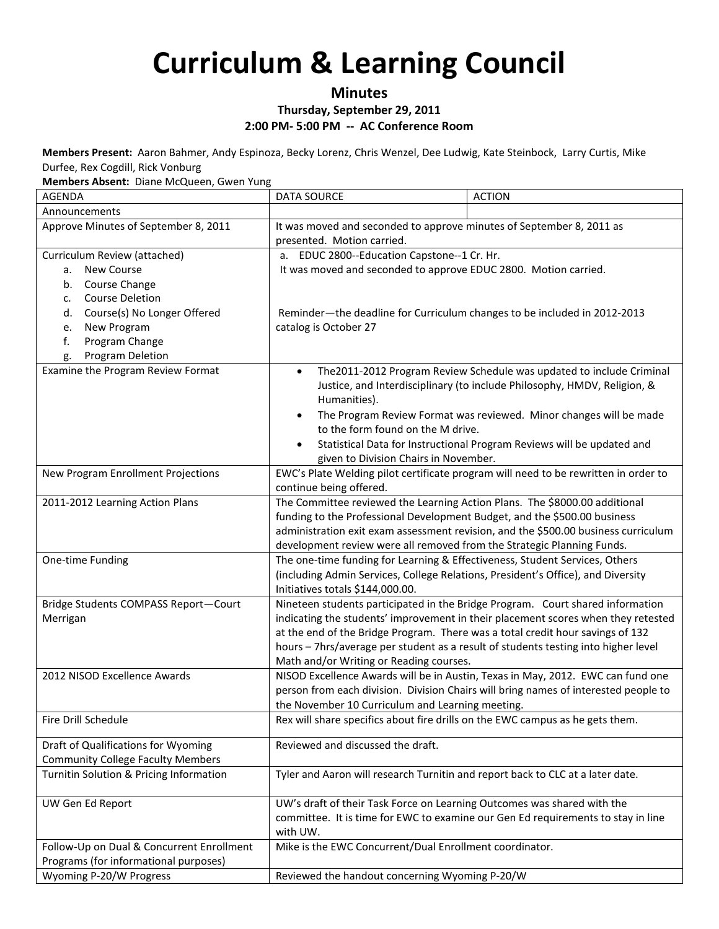## **Minutes**

**Thursday, September 29, 2011**

#### **2:00 PM- 5:00 PM -- AC Conference Room**

**Members Present:** Aaron Bahmer, Andy Espinoza, Becky Lorenz, Chris Wenzel, Dee Ludwig, Kate Steinbock, Larry Curtis, Mike Durfee, Rex Cogdill, Rick Vonburg

**Members Absent:** Diane McQueen, Gwen Yung

| <b>AGENDA</b>                             | <b>DATA SOURCE</b>                                                                                                   | <b>ACTION</b>                                                                                                                                     |
|-------------------------------------------|----------------------------------------------------------------------------------------------------------------------|---------------------------------------------------------------------------------------------------------------------------------------------------|
| Announcements                             |                                                                                                                      |                                                                                                                                                   |
| Approve Minutes of September 8, 2011      | It was moved and seconded to approve minutes of September 8, 2011 as                                                 |                                                                                                                                                   |
|                                           | presented. Motion carried.                                                                                           |                                                                                                                                                   |
| Curriculum Review (attached)              | a. EDUC 2800--Education Capstone--1 Cr. Hr.                                                                          |                                                                                                                                                   |
| New Course<br>а.                          | It was moved and seconded to approve EDUC 2800. Motion carried.                                                      |                                                                                                                                                   |
| Course Change<br>b.                       |                                                                                                                      |                                                                                                                                                   |
| <b>Course Deletion</b><br>c.              |                                                                                                                      |                                                                                                                                                   |
| Course(s) No Longer Offered<br>d.         | Reminder-the deadline for Curriculum changes to be included in 2012-2013                                             |                                                                                                                                                   |
| New Program<br>е.                         | catalog is October 27                                                                                                |                                                                                                                                                   |
| f.<br>Program Change                      |                                                                                                                      |                                                                                                                                                   |
| Program Deletion<br>g.                    |                                                                                                                      |                                                                                                                                                   |
| Examine the Program Review Format         | $\bullet$<br>Humanities).                                                                                            | The 2011-2012 Program Review Schedule was updated to include Criminal<br>Justice, and Interdisciplinary (to include Philosophy, HMDV, Religion, & |
|                                           | $\bullet$<br>to the form found on the M drive.                                                                       | The Program Review Format was reviewed. Minor changes will be made                                                                                |
|                                           | $\bullet$<br>given to Division Chairs in November.                                                                   | Statistical Data for Instructional Program Reviews will be updated and                                                                            |
| New Program Enrollment Projections        | continue being offered.                                                                                              | EWC's Plate Welding pilot certificate program will need to be rewritten in order to                                                               |
| 2011-2012 Learning Action Plans           | The Committee reviewed the Learning Action Plans. The \$8000.00 additional                                           |                                                                                                                                                   |
|                                           | funding to the Professional Development Budget, and the \$500.00 business                                            |                                                                                                                                                   |
|                                           |                                                                                                                      | administration exit exam assessment revision, and the \$500.00 business curriculum                                                                |
|                                           | development review were all removed from the Strategic Planning Funds.                                               |                                                                                                                                                   |
| One-time Funding                          | The one-time funding for Learning & Effectiveness, Student Services, Others                                          |                                                                                                                                                   |
|                                           | (including Admin Services, College Relations, President's Office), and Diversity<br>Initiatives totals \$144,000.00. |                                                                                                                                                   |
| Bridge Students COMPASS Report-Court      |                                                                                                                      | Nineteen students participated in the Bridge Program. Court shared information                                                                    |
| Merrigan                                  |                                                                                                                      | indicating the students' improvement in their placement scores when they retested                                                                 |
|                                           | at the end of the Bridge Program. There was a total credit hour savings of 132                                       |                                                                                                                                                   |
|                                           |                                                                                                                      | hours - 7hrs/average per student as a result of students testing into higher level                                                                |
|                                           | Math and/or Writing or Reading courses.                                                                              |                                                                                                                                                   |
| 2012 NISOD Excellence Awards              |                                                                                                                      | NISOD Excellence Awards will be in Austin, Texas in May, 2012. EWC can fund one                                                                   |
|                                           |                                                                                                                      | person from each division. Division Chairs will bring names of interested people to                                                               |
|                                           | the November 10 Curriculum and Learning meeting.                                                                     |                                                                                                                                                   |
| Fire Drill Schedule                       | Rex will share specifics about fire drills on the EWC campus as he gets them.                                        |                                                                                                                                                   |
| Draft of Qualifications for Wyoming       | Reviewed and discussed the draft.                                                                                    |                                                                                                                                                   |
| <b>Community College Faculty Members</b>  |                                                                                                                      |                                                                                                                                                   |
| Turnitin Solution & Pricing Information   | Tyler and Aaron will research Turnitin and report back to CLC at a later date.                                       |                                                                                                                                                   |
| UW Gen Ed Report                          | UW's draft of their Task Force on Learning Outcomes was shared with the                                              |                                                                                                                                                   |
|                                           | with UW.                                                                                                             | committee. It is time for EWC to examine our Gen Ed requirements to stay in line                                                                  |
| Follow-Up on Dual & Concurrent Enrollment | Mike is the EWC Concurrent/Dual Enrollment coordinator.                                                              |                                                                                                                                                   |
| Programs (for informational purposes)     |                                                                                                                      |                                                                                                                                                   |
| Wyoming P-20/W Progress                   | Reviewed the handout concerning Wyoming P-20/W                                                                       |                                                                                                                                                   |
|                                           |                                                                                                                      |                                                                                                                                                   |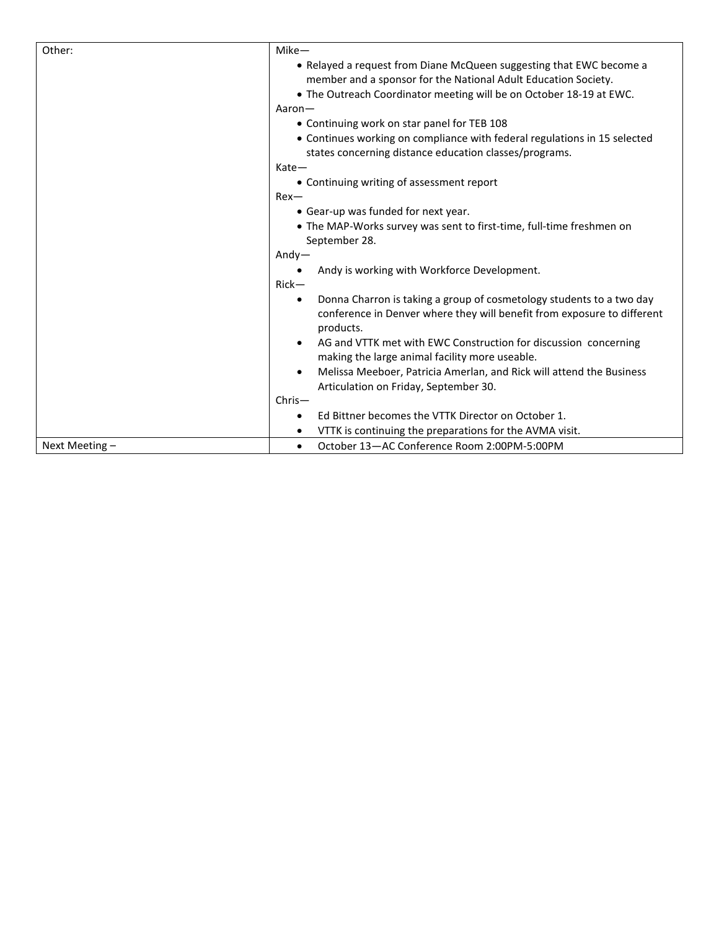| Other:         | Mike-                                                                                                                                                        |
|----------------|--------------------------------------------------------------------------------------------------------------------------------------------------------------|
|                | • Relayed a request from Diane McQueen suggesting that EWC become a                                                                                          |
|                | member and a sponsor for the National Adult Education Society.                                                                                               |
|                | . The Outreach Coordinator meeting will be on October 18-19 at EWC.                                                                                          |
|                | Aaron-                                                                                                                                                       |
|                | • Continuing work on star panel for TEB 108                                                                                                                  |
|                | • Continues working on compliance with federal regulations in 15 selected                                                                                    |
|                | states concerning distance education classes/programs.                                                                                                       |
|                | $Kate-$                                                                                                                                                      |
|                | • Continuing writing of assessment report                                                                                                                    |
|                | $Rex-$                                                                                                                                                       |
|                | • Gear-up was funded for next year.                                                                                                                          |
|                | • The MAP-Works survey was sent to first-time, full-time freshmen on                                                                                         |
|                | September 28.                                                                                                                                                |
|                | $Andy-$                                                                                                                                                      |
|                | Andy is working with Workforce Development.                                                                                                                  |
|                | $Rick-$                                                                                                                                                      |
|                | Donna Charron is taking a group of cosmetology students to a two day<br>conference in Denver where they will benefit from exposure to different<br>products. |
|                | AG and VTTK met with EWC Construction for discussion concerning<br>making the large animal facility more useable.                                            |
|                | Melissa Meeboer, Patricia Amerlan, and Rick will attend the Business                                                                                         |
|                | Articulation on Friday, September 30.                                                                                                                        |
|                | $Christ-$                                                                                                                                                    |
|                | Ed Bittner becomes the VTTK Director on October 1.                                                                                                           |
|                | VTTK is continuing the preparations for the AVMA visit.<br>$\bullet$                                                                                         |
| Next Meeting - | October 13-AC Conference Room 2:00PM-5:00PM<br>$\bullet$                                                                                                     |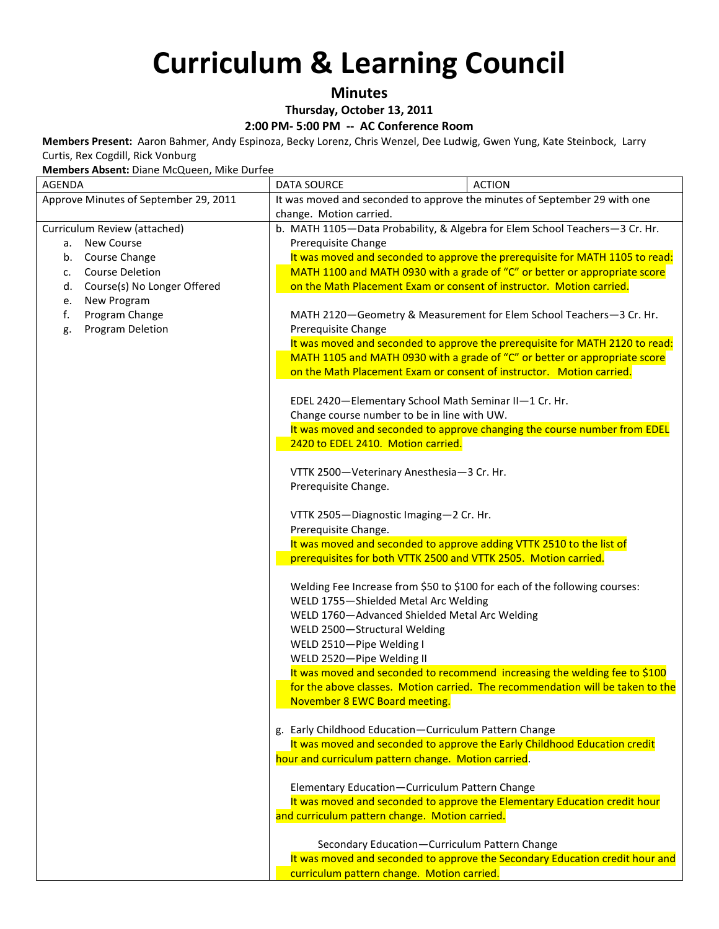### **Minutes**

**Thursday, October 13, 2011**

#### **2:00 PM- 5:00 PM -- AC Conference Room**

**Members Present:** Aaron Bahmer, Andy Espinoza, Becky Lorenz, Chris Wenzel, Dee Ludwig, Gwen Yung, Kate Steinbock, Larry Curtis, Rex Cogdill, Rick Vonburg

**Members Absent:** Diane McQueen, Mike Durfee

| <b>AGENDA</b>                         | <b>DATA SOURCE</b><br><b>ACTION</b>                                                                  |
|---------------------------------------|------------------------------------------------------------------------------------------------------|
| Approve Minutes of September 29, 2011 | It was moved and seconded to approve the minutes of September 29 with one                            |
|                                       | change. Motion carried.                                                                              |
| Curriculum Review (attached)          | b. MATH 1105-Data Probability, & Algebra for Elem School Teachers-3 Cr. Hr.                          |
| New Course<br>а.                      | Prerequisite Change                                                                                  |
| Course Change<br>b.                   | It was moved and seconded to approve the prerequisite for MATH 1105 to read:                         |
| <b>Course Deletion</b><br>c.          | MATH 1100 and MATH 0930 with a grade of "C" or better or appropriate score                           |
| Course(s) No Longer Offered<br>d.     | on the Math Placement Exam or consent of instructor. Motion carried.                                 |
| New Program<br>e.                     |                                                                                                      |
| Program Change<br>f.                  | MATH 2120-Geometry & Measurement for Elem School Teachers-3 Cr. Hr.                                  |
| Program Deletion<br>g.                | Prerequisite Change                                                                                  |
|                                       | It was moved and seconded to approve the prerequisite for MATH 2120 to read:                         |
|                                       | MATH 1105 and MATH 0930 with a grade of "C" or better or appropriate score                           |
|                                       | on the Math Placement Exam or consent of instructor. Motion carried.                                 |
|                                       |                                                                                                      |
|                                       | EDEL 2420-Elementary School Math Seminar II-1 Cr. Hr.<br>Change course number to be in line with UW. |
|                                       | It was moved and seconded to approve changing the course number from EDEL                            |
|                                       | 2420 to EDEL 2410. Motion carried.                                                                   |
|                                       |                                                                                                      |
|                                       | VTTK 2500-Veterinary Anesthesia-3 Cr. Hr.                                                            |
|                                       | Prerequisite Change.                                                                                 |
|                                       |                                                                                                      |
|                                       | VTTK 2505-Diagnostic Imaging-2 Cr. Hr.                                                               |
|                                       | Prerequisite Change.                                                                                 |
|                                       | It was moved and seconded to approve adding VTTK 2510 to the list of                                 |
|                                       | prerequisites for both VTTK 2500 and VTTK 2505. Motion carried.                                      |
|                                       |                                                                                                      |
|                                       | Welding Fee Increase from \$50 to \$100 for each of the following courses:                           |
|                                       | WELD 1755-Shielded Metal Arc Welding                                                                 |
|                                       | WELD 1760-Advanced Shielded Metal Arc Welding                                                        |
|                                       | WELD 2500-Structural Welding                                                                         |
|                                       | WELD 2510-Pipe Welding I                                                                             |
|                                       | WELD 2520-Pipe Welding II                                                                            |
|                                       | It was moved and seconded to recommend increasing the welding fee to \$100                           |
|                                       | for the above classes. Motion carried. The recommendation will be taken to the                       |
|                                       | November 8 EWC Board meeting.                                                                        |
|                                       | g. Early Childhood Education-Curriculum Pattern Change                                               |
|                                       | It was moved and seconded to approve the Early Childhood Education credit                            |
|                                       | hour and curriculum pattern change. Motion carried.                                                  |
|                                       |                                                                                                      |
|                                       | Elementary Education-Curriculum Pattern Change                                                       |
|                                       | It was moved and seconded to approve the Elementary Education credit hour                            |
|                                       | and curriculum pattern change. Motion carried.                                                       |
|                                       |                                                                                                      |
|                                       | Secondary Education-Curriculum Pattern Change                                                        |
|                                       | It was moved and seconded to approve the Secondary Education credit hour and                         |
|                                       | curriculum pattern change. Motion carried.                                                           |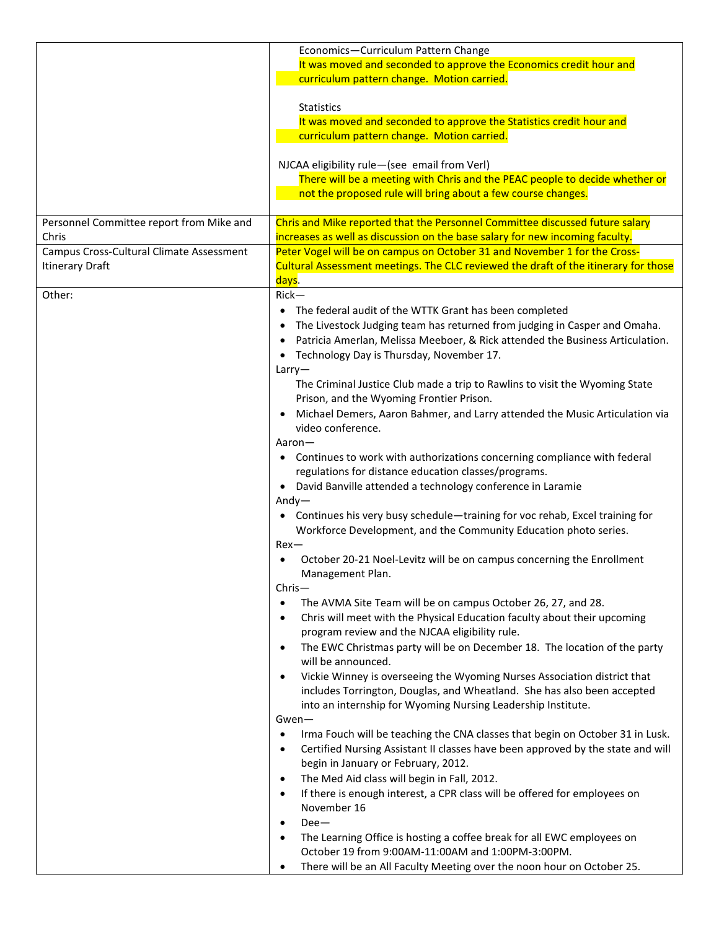|                                          | Economics-Curriculum Pattern Change                                                          |
|------------------------------------------|----------------------------------------------------------------------------------------------|
|                                          | It was moved and seconded to approve the Economics credit hour and                           |
|                                          | curriculum pattern change. Motion carried.                                                   |
|                                          |                                                                                              |
|                                          | <b>Statistics</b>                                                                            |
|                                          | It was moved and seconded to approve the Statistics credit hour and                          |
|                                          | curriculum pattern change. Motion carried.                                                   |
|                                          |                                                                                              |
|                                          | NJCAA eligibility rule-(see email from Verl)                                                 |
|                                          | There will be a meeting with Chris and the PEAC people to decide whether or                  |
|                                          | not the proposed rule will bring about a few course changes.                                 |
|                                          |                                                                                              |
| Personnel Committee report from Mike and | Chris and Mike reported that the Personnel Committee discussed future salary                 |
| Chris                                    | increases as well as discussion on the base salary for new incoming faculty.                 |
| Campus Cross-Cultural Climate Assessment | Peter Vogel will be on campus on October 31 and November 1 for the Cross-                    |
| <b>Itinerary Draft</b>                   | Cultural Assessment meetings. The CLC reviewed the draft of the itinerary for those          |
|                                          | days.                                                                                        |
| Other:                                   | $Rick-$                                                                                      |
|                                          | The federal audit of the WTTK Grant has been completed                                       |
|                                          | The Livestock Judging team has returned from judging in Casper and Omaha.                    |
|                                          | Patricia Amerlan, Melissa Meeboer, & Rick attended the Business Articulation.                |
|                                          | Technology Day is Thursday, November 17.<br>$\bullet$                                        |
|                                          | Larry                                                                                        |
|                                          | The Criminal Justice Club made a trip to Rawlins to visit the Wyoming State                  |
|                                          | Prison, and the Wyoming Frontier Prison.                                                     |
|                                          | Michael Demers, Aaron Bahmer, and Larry attended the Music Articulation via                  |
|                                          | video conference.                                                                            |
|                                          | Aaron-                                                                                       |
|                                          | Continues to work with authorizations concerning compliance with federal                     |
|                                          | regulations for distance education classes/programs.                                         |
|                                          | David Banville attended a technology conference in Laramie<br>$\bullet$                      |
|                                          | $Andy-$                                                                                      |
|                                          | • Continues his very busy schedule-training for voc rehab, Excel training for                |
|                                          | Workforce Development, and the Community Education photo series.                             |
|                                          | $Rex$ —                                                                                      |
|                                          | October 20-21 Noel-Levitz will be on campus concerning the Enrollment                        |
|                                          | Management Plan.                                                                             |
|                                          | $Christ-$                                                                                    |
|                                          | The AVMA Site Team will be on campus October 26, 27, and 28.<br>$\bullet$                    |
|                                          | Chris will meet with the Physical Education faculty about their upcoming<br>$\bullet$        |
|                                          | program review and the NJCAA eligibility rule.                                               |
|                                          | The EWC Christmas party will be on December 18. The location of the party<br>$\bullet$       |
|                                          | will be announced.                                                                           |
|                                          | Vickie Winney is overseeing the Wyoming Nurses Association district that<br>$\bullet$        |
|                                          | includes Torrington, Douglas, and Wheatland. She has also been accepted                      |
|                                          | into an internship for Wyoming Nursing Leadership Institute.                                 |
|                                          | $Gwen-$                                                                                      |
|                                          | Irma Fouch will be teaching the CNA classes that begin on October 31 in Lusk.<br>$\bullet$   |
|                                          | Certified Nursing Assistant II classes have been approved by the state and will<br>$\bullet$ |
|                                          | begin in January or February, 2012.                                                          |
|                                          | The Med Aid class will begin in Fall, 2012.<br>$\bullet$                                     |
|                                          | If there is enough interest, a CPR class will be offered for employees on<br>$\bullet$       |
|                                          | November 16                                                                                  |
|                                          | $Dee-$<br>$\bullet$                                                                          |
|                                          | The Learning Office is hosting a coffee break for all EWC employees on<br>$\bullet$          |
|                                          | October 19 from 9:00AM-11:00AM and 1:00PM-3:00PM.                                            |
|                                          | There will be an All Faculty Meeting over the noon hour on October 25.<br>$\bullet$          |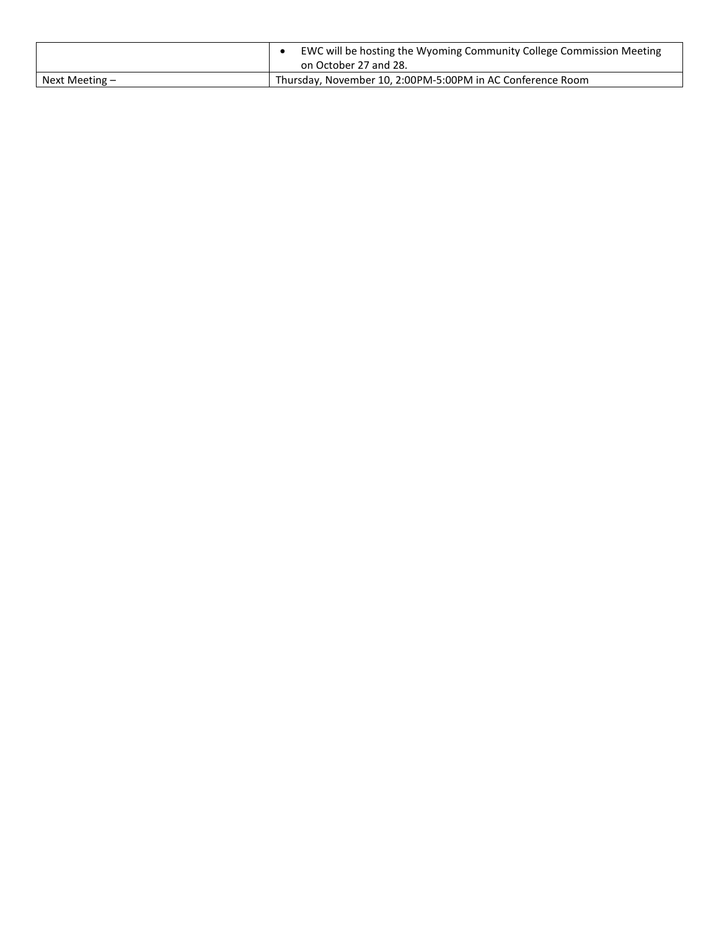|                | EWC will be hosting the Wyoming Community College Commission Meeting<br>on October 27 and 28. |
|----------------|-----------------------------------------------------------------------------------------------|
| Next Meeting – | Thursday, November 10, 2:00PM-5:00PM in AC Conference Room                                    |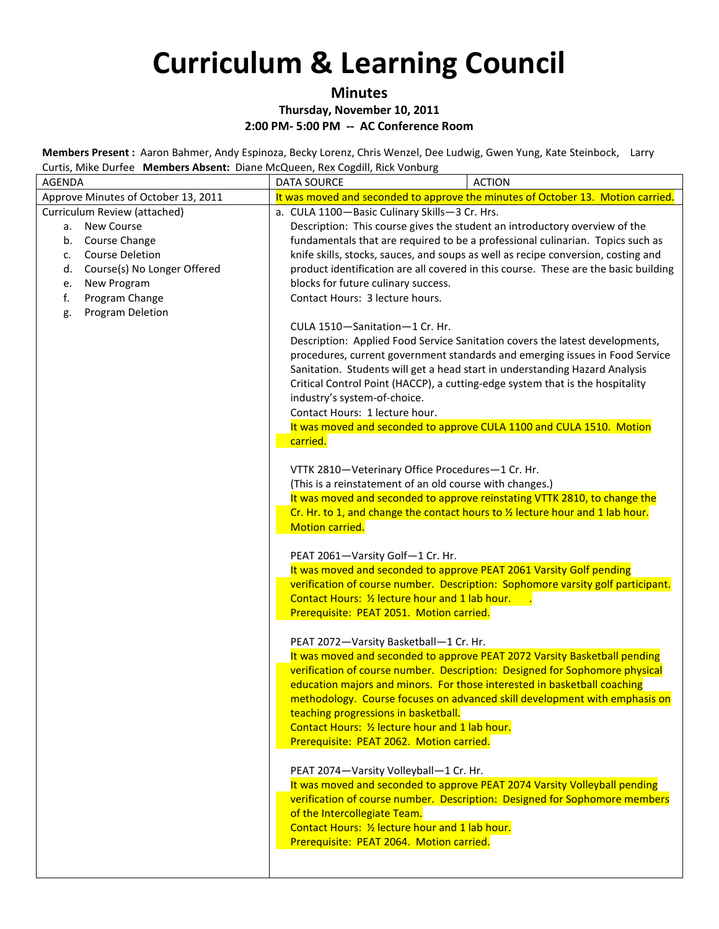### **Minutes**

### **Thursday, November 10, 2011**

#### **2:00 PM- 5:00 PM -- AC Conference Room**

**Members Present :** Aaron Bahmer, Andy Espinoza, Becky Lorenz, Chris Wenzel, Dee Ludwig, Gwen Yung, Kate Steinbock, Larry Curtis, Mike Durfee **Members Absent:** Diane McQueen, Rex Cogdill, Rick Vonburg

| cards, wike barred <b>members hosent.</b> Blane megacen, hex cogain, nick volibarg<br>AGENDA | <b>ACTION</b><br>DATA SOURCE                                                                                        |
|----------------------------------------------------------------------------------------------|---------------------------------------------------------------------------------------------------------------------|
| Approve Minutes of October 13, 2011                                                          | It was moved and seconded to approve the minutes of October 13. Motion carried.                                     |
| Curriculum Review (attached)                                                                 | a. CULA 1100-Basic Culinary Skills-3 Cr. Hrs.                                                                       |
| New Course<br>а.                                                                             | Description: This course gives the student an introductory overview of the                                          |
| Course Change<br>b.                                                                          | fundamentals that are required to be a professional culinarian. Topics such as                                      |
| <b>Course Deletion</b><br>c.                                                                 | knife skills, stocks, sauces, and soups as well as recipe conversion, costing and                                   |
| Course(s) No Longer Offered<br>d.                                                            | product identification are all covered in this course. These are the basic building                                 |
| New Program<br>e.                                                                            | blocks for future culinary success.                                                                                 |
| f.<br>Program Change                                                                         | Contact Hours: 3 lecture hours.                                                                                     |
| Program Deletion<br>g.                                                                       |                                                                                                                     |
|                                                                                              | CULA 1510-Sanitation-1 Cr. Hr.                                                                                      |
|                                                                                              | Description: Applied Food Service Sanitation covers the latest developments,                                        |
|                                                                                              | procedures, current government standards and emerging issues in Food Service                                        |
|                                                                                              | Sanitation. Students will get a head start in understanding Hazard Analysis                                         |
|                                                                                              | Critical Control Point (HACCP), a cutting-edge system that is the hospitality                                       |
|                                                                                              | industry's system-of-choice.<br>Contact Hours: 1 lecture hour.                                                      |
|                                                                                              | It was moved and seconded to approve CULA 1100 and CULA 1510. Motion                                                |
|                                                                                              | carried.                                                                                                            |
|                                                                                              |                                                                                                                     |
|                                                                                              | VTTK 2810-Veterinary Office Procedures-1 Cr. Hr.                                                                    |
|                                                                                              | (This is a reinstatement of an old course with changes.)                                                            |
|                                                                                              | It was moved and seconded to approve reinstating VTTK 2810, to change the                                           |
|                                                                                              | Cr. Hr. to 1, and change the contact hours to 1/2 lecture hour and 1 lab hour.                                      |
|                                                                                              | Motion carried.                                                                                                     |
|                                                                                              |                                                                                                                     |
|                                                                                              | PEAT 2061-Varsity Golf-1 Cr. Hr.                                                                                    |
|                                                                                              | It was moved and seconded to approve PEAT 2061 Varsity Golf pending                                                 |
|                                                                                              | verification of course number. Description: Sophomore varsity golf participant.                                     |
|                                                                                              | Contact Hours: 1/2 lecture hour and 1 lab hour.                                                                     |
|                                                                                              | Prerequisite: PEAT 2051. Motion carried.                                                                            |
|                                                                                              |                                                                                                                     |
|                                                                                              | PEAT 2072-Varsity Basketball-1 Cr. Hr.<br>It was moved and seconded to approve PEAT 2072 Varsity Basketball pending |
|                                                                                              | verification of course number. Description: Designed for Sophomore physical                                         |
|                                                                                              | education majors and minors. For those interested in basketball coaching                                            |
|                                                                                              | methodology. Course focuses on advanced skill development with emphasis on                                          |
|                                                                                              | teaching progressions in basketball.                                                                                |
|                                                                                              | Contact Hours: 1/2 lecture hour and 1 lab hour.                                                                     |
|                                                                                              | Prerequisite: PEAT 2062. Motion carried.                                                                            |
|                                                                                              |                                                                                                                     |
|                                                                                              | PEAT 2074-Varsity Volleyball-1 Cr. Hr.                                                                              |
|                                                                                              | It was moved and seconded to approve PEAT 2074 Varsity Volleyball pending                                           |
|                                                                                              | verification of course number. Description: Designed for Sophomore members                                          |
|                                                                                              | of the Intercollegiate Team.                                                                                        |
|                                                                                              | Contact Hours: 1/2 lecture hour and 1 lab hour.                                                                     |
|                                                                                              | Prerequisite: PEAT 2064. Motion carried.                                                                            |
|                                                                                              |                                                                                                                     |
|                                                                                              |                                                                                                                     |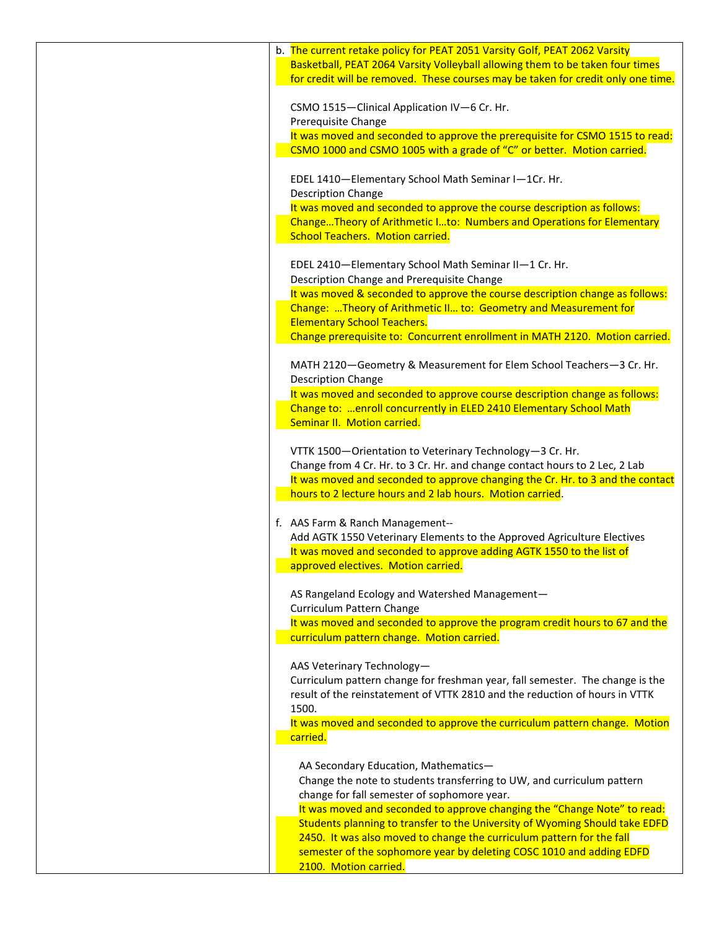| b. The current retake policy for PEAT 2051 Varsity Golf, PEAT 2062 Varsity<br>Basketball, PEAT 2064 Varsity Volleyball allowing them to be taken four times<br>for credit will be removed. These courses may be taken for credit only one time. |
|-------------------------------------------------------------------------------------------------------------------------------------------------------------------------------------------------------------------------------------------------|
| CSMO 1515-Clinical Application IV-6 Cr. Hr.                                                                                                                                                                                                     |
| Prerequisite Change<br>It was moved and seconded to approve the prerequisite for CSMO 1515 to read:<br>CSMO 1000 and CSMO 1005 with a grade of "C" or better. Motion carried.                                                                   |
| EDEL 1410-Elementary School Math Seminar I-1Cr. Hr.                                                                                                                                                                                             |
| <b>Description Change</b><br>It was moved and seconded to approve the course description as follows:<br>ChangeTheory of Arithmetic Ito: Numbers and Operations for Elementary                                                                   |
| <b>School Teachers. Motion carried.</b><br>EDEL 2410-Elementary School Math Seminar II-1 Cr. Hr.                                                                                                                                                |
| Description Change and Prerequisite Change<br>It was moved & seconded to approve the course description change as follows:<br>Change: Theory of Arithmetic II to: Geometry and Measurement for                                                  |
| <b>Elementary School Teachers.</b><br>Change prerequisite to: Concurrent enrollment in MATH 2120. Motion carried.                                                                                                                               |
| MATH 2120-Geometry & Measurement for Elem School Teachers-3 Cr. Hr.<br><b>Description Change</b>                                                                                                                                                |
| It was moved and seconded to approve course description change as follows:<br>Change to:  enroll concurrently in ELED 2410 Elementary School Math<br>Seminar II. Motion carried.                                                                |
| VTTK 1500-Orientation to Veterinary Technology-3 Cr. Hr.<br>Change from 4 Cr. Hr. to 3 Cr. Hr. and change contact hours to 2 Lec, 2 Lab<br>It was moved and seconded to approve changing the Cr. Hr. to 3 and the contact                       |
| hours to 2 lecture hours and 2 lab hours. Motion carried.                                                                                                                                                                                       |
| f. AAS Farm & Ranch Management--<br>Add AGTK 1550 Veterinary Elements to the Approved Agriculture Electives<br>It was moved and seconded to approve adding AGTK 1550 to the list of                                                             |
| approved electives. Motion carried.<br>AS Rangeland Ecology and Watershed Management-                                                                                                                                                           |
| Curriculum Pattern Change<br>It was moved and seconded to approve the program credit hours to 67 and the<br>curriculum pattern change. Motion carried.                                                                                          |
| AAS Veterinary Technology-<br>Curriculum pattern change for freshman year, fall semester. The change is the                                                                                                                                     |
| result of the reinstatement of VTTK 2810 and the reduction of hours in VTTK<br>1500.                                                                                                                                                            |
| It was moved and seconded to approve the curriculum pattern change. Motion<br>carried.                                                                                                                                                          |
| AA Secondary Education, Mathematics-<br>Change the note to students transferring to UW, and curriculum pattern<br>change for fall semester of sophomore year.                                                                                   |
| It was moved and seconded to approve changing the "Change Note" to read:<br>Students planning to transfer to the University of Wyoming Should take EDFD<br>2450. It was also moved to change the curriculum pattern for the fall                |
| semester of the sophomore year by deleting COSC 1010 and adding EDFD<br>2100. Motion carried.                                                                                                                                                   |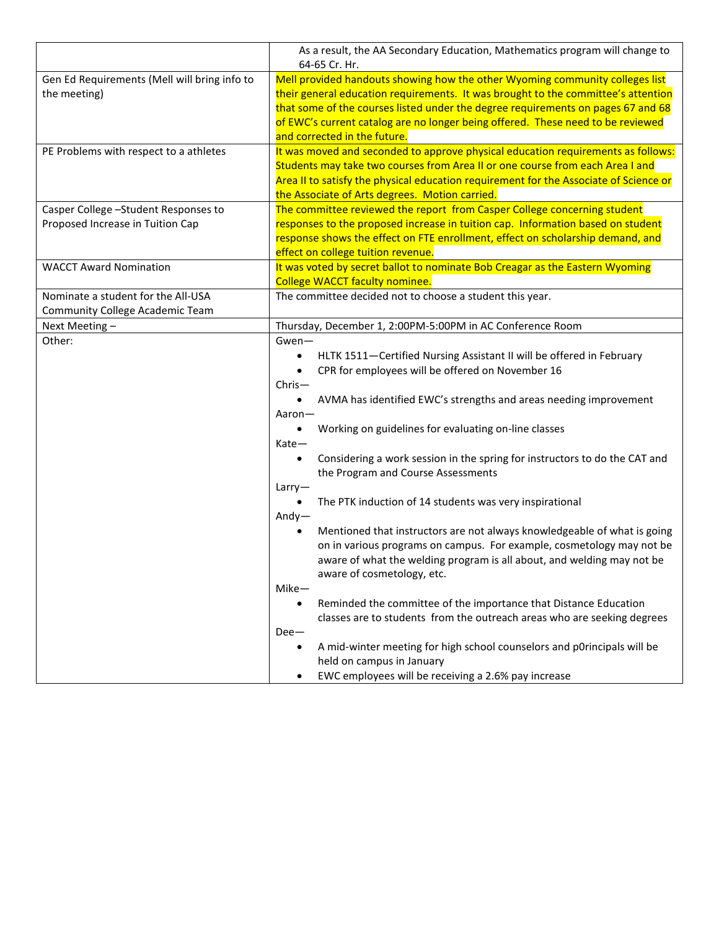|                                              | As a result, the AA Secondary Education, Mathematics program will change to             |
|----------------------------------------------|-----------------------------------------------------------------------------------------|
|                                              | 64-65 Cr. Hr.                                                                           |
| Gen Ed Requirements (Mell will bring info to | Mell provided handouts showing how the other Wyoming community colleges list            |
| the meeting)                                 | their general education requirements. It was brought to the committee's attention       |
|                                              | that some of the courses listed under the degree requirements on pages 67 and 68        |
|                                              | of EWC's current catalog are no longer being offered. These need to be reviewed         |
|                                              | and corrected in the future.                                                            |
| PE Problems with respect to a athletes       | It was moved and seconded to approve physical education requirements as follows:        |
|                                              | Students may take two courses from Area II or one course from each Area I and           |
|                                              | Area II to satisfy the physical education requirement for the Associate of Science or   |
|                                              | the Associate of Arts degrees. Motion carried.                                          |
| Casper College - Student Responses to        | The committee reviewed the report from Casper College concerning student                |
| Proposed Increase in Tuition Cap             | responses to the proposed increase in tuition cap. Information based on student         |
|                                              | response shows the effect on FTE enrollment, effect on scholarship demand, and          |
|                                              | effect on college tuition revenue.                                                      |
| <b>WACCT Award Nomination</b>                | It was voted by secret ballot to nominate Bob Creagar as the Eastern Wyoming            |
|                                              | <b>College WACCT faculty nominee.</b>                                                   |
| Nominate a student for the All-USA           | The committee decided not to choose a student this year.                                |
| Community College Academic Team              |                                                                                         |
| Next Meeting-                                | Thursday, December 1, 2:00PM-5:00PM in AC Conference Room                               |
| Other:                                       | Gwen-                                                                                   |
|                                              | HLTK 1511-Certified Nursing Assistant II will be offered in February<br>$\bullet$       |
|                                              | CPR for employees will be offered on November 16<br>$\bullet$                           |
|                                              | $Christ-$                                                                               |
|                                              | AVMA has identified EWC's strengths and areas needing improvement                       |
|                                              | Aaron-                                                                                  |
|                                              | Working on guidelines for evaluating on-line classes<br>$\bullet$                       |
|                                              | Kate-                                                                                   |
|                                              | Considering a work session in the spring for instructors to do the CAT and<br>$\bullet$ |
|                                              | the Program and Course Assessments                                                      |
|                                              | Larry                                                                                   |
|                                              | The PTK induction of 14 students was very inspirational                                 |
|                                              | Andy $-$                                                                                |
|                                              | Mentioned that instructors are not always knowledgeable of what is going<br>٠           |
|                                              | on in various programs on campus. For example, cosmetology may not be                   |
|                                              | aware of what the welding program is all about, and welding may not be                  |
|                                              | aware of cosmetology, etc.                                                              |
|                                              | $Mike-$                                                                                 |
|                                              | Reminded the committee of the importance that Distance Education<br>$\bullet$           |
|                                              | classes are to students from the outreach areas who are seeking degrees                 |
|                                              | $Dee-$                                                                                  |
|                                              | A mid-winter meeting for high school counselors and p0rincipals will be<br>$\bullet$    |
|                                              | held on campus in January                                                               |
|                                              | EWC employees will be receiving a 2.6% pay increase                                     |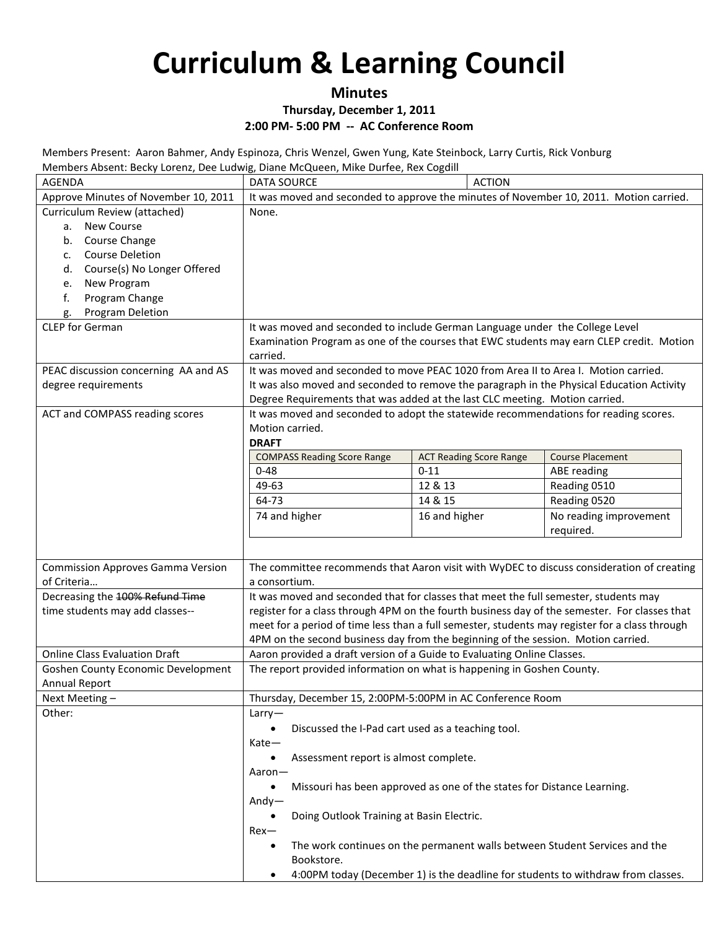### **Minutes**

### **Thursday, December 1, 2011**

### **2:00 PM- 5:00 PM -- AC Conference Room**

Members Present: Aaron Bahmer, Andy Espinoza, Chris Wenzel, Gwen Yung, Kate Steinbock, Larry Curtis, Rick Vonburg Members Absent: Becky Lorenz, Dee Ludwig, Diane McQueen, Mike Durfee, Rex Cogdill

| iviembers Absent: Becky Lorenz, Dee Ludwig, Diane McQueen, Mike Durfee, Rex Coguili<br>AGENDA | <b>DATA SOURCE</b>                                                                                    | <b>ACTION</b>                                                          |                                                                                  |
|-----------------------------------------------------------------------------------------------|-------------------------------------------------------------------------------------------------------|------------------------------------------------------------------------|----------------------------------------------------------------------------------|
|                                                                                               |                                                                                                       |                                                                        |                                                                                  |
| Approve Minutes of November 10, 2011                                                          | It was moved and seconded to approve the minutes of November 10, 2011. Motion carried.                |                                                                        |                                                                                  |
| Curriculum Review (attached)<br><b>New Course</b>                                             | None.                                                                                                 |                                                                        |                                                                                  |
| a.                                                                                            |                                                                                                       |                                                                        |                                                                                  |
| Course Change<br>b.<br><b>Course Deletion</b>                                                 |                                                                                                       |                                                                        |                                                                                  |
| $\mathsf{C}$ .                                                                                |                                                                                                       |                                                                        |                                                                                  |
| Course(s) No Longer Offered<br>d.                                                             |                                                                                                       |                                                                        |                                                                                  |
| New Program<br>e.<br>Program Change<br>f.                                                     |                                                                                                       |                                                                        |                                                                                  |
| Program Deletion                                                                              |                                                                                                       |                                                                        |                                                                                  |
| g.<br><b>CLEP</b> for German                                                                  | It was moved and seconded to include German Language under the College Level                          |                                                                        |                                                                                  |
|                                                                                               | Examination Program as one of the courses that EWC students may earn CLEP credit. Motion              |                                                                        |                                                                                  |
|                                                                                               | carried.                                                                                              |                                                                        |                                                                                  |
| PEAC discussion concerning AA and AS                                                          | It was moved and seconded to move PEAC 1020 from Area II to Area I. Motion carried.                   |                                                                        |                                                                                  |
| degree requirements                                                                           | It was also moved and seconded to remove the paragraph in the Physical Education Activity             |                                                                        |                                                                                  |
|                                                                                               | Degree Requirements that was added at the last CLC meeting. Motion carried.                           |                                                                        |                                                                                  |
| ACT and COMPASS reading scores                                                                | It was moved and seconded to adopt the statewide recommendations for reading scores.                  |                                                                        |                                                                                  |
|                                                                                               | Motion carried.                                                                                       |                                                                        |                                                                                  |
|                                                                                               | <b>DRAFT</b>                                                                                          |                                                                        |                                                                                  |
|                                                                                               | <b>COMPASS Reading Score Range</b>                                                                    | <b>ACT Reading Score Range</b>                                         | <b>Course Placement</b>                                                          |
|                                                                                               | $0 - 48$                                                                                              | $0 - 11$                                                               | ABE reading                                                                      |
|                                                                                               | 49-63                                                                                                 | 12 & 13                                                                | Reading 0510                                                                     |
|                                                                                               | 64-73                                                                                                 | 14 & 15                                                                | Reading 0520                                                                     |
|                                                                                               | 74 and higher                                                                                         | 16 and higher                                                          | No reading improvement                                                           |
|                                                                                               |                                                                                                       |                                                                        | required.                                                                        |
|                                                                                               |                                                                                                       |                                                                        |                                                                                  |
| <b>Commission Approves Gamma Version</b>                                                      | The committee recommends that Aaron visit with WyDEC to discuss consideration of creating             |                                                                        |                                                                                  |
| of Criteria                                                                                   | a consortium.                                                                                         |                                                                        |                                                                                  |
| Decreasing the 100% Refund Time                                                               | It was moved and seconded that for classes that meet the full semester, students may                  |                                                                        |                                                                                  |
| time students may add classes--                                                               | register for a class through 4PM on the fourth business day of the semester. For classes that         |                                                                        |                                                                                  |
|                                                                                               | meet for a period of time less than a full semester, students may register for a class through        |                                                                        |                                                                                  |
|                                                                                               | 4PM on the second business day from the beginning of the session. Motion carried.                     |                                                                        |                                                                                  |
| <b>Online Class Evaluation Draft</b>                                                          | Aaron provided a draft version of a Guide to Evaluating Online Classes.                               |                                                                        |                                                                                  |
| <b>Goshen County Economic Development</b>                                                     | The report provided information on what is happening in Goshen County.                                |                                                                        |                                                                                  |
| <b>Annual Report</b>                                                                          |                                                                                                       |                                                                        |                                                                                  |
| Next Meeting-                                                                                 | Thursday, December 15, 2:00PM-5:00PM in AC Conference Room                                            |                                                                        |                                                                                  |
| Other:                                                                                        | Larry                                                                                                 |                                                                        |                                                                                  |
|                                                                                               | Discussed the I-Pad cart used as a teaching tool.                                                     |                                                                        |                                                                                  |
|                                                                                               | Kate-                                                                                                 |                                                                        |                                                                                  |
|                                                                                               | Assessment report is almost complete.                                                                 |                                                                        |                                                                                  |
|                                                                                               | Aaron-                                                                                                |                                                                        |                                                                                  |
|                                                                                               |                                                                                                       | Missouri has been approved as one of the states for Distance Learning. |                                                                                  |
|                                                                                               | Andy $-$                                                                                              |                                                                        |                                                                                  |
|                                                                                               | Doing Outlook Training at Basin Electric.                                                             |                                                                        |                                                                                  |
|                                                                                               | $Rex-$                                                                                                |                                                                        |                                                                                  |
|                                                                                               | The work continues on the permanent walls between Student Services and the<br>$\bullet$<br>Bookstore. |                                                                        |                                                                                  |
|                                                                                               | ٠                                                                                                     |                                                                        | 4:00PM today (December 1) is the deadline for students to withdraw from classes. |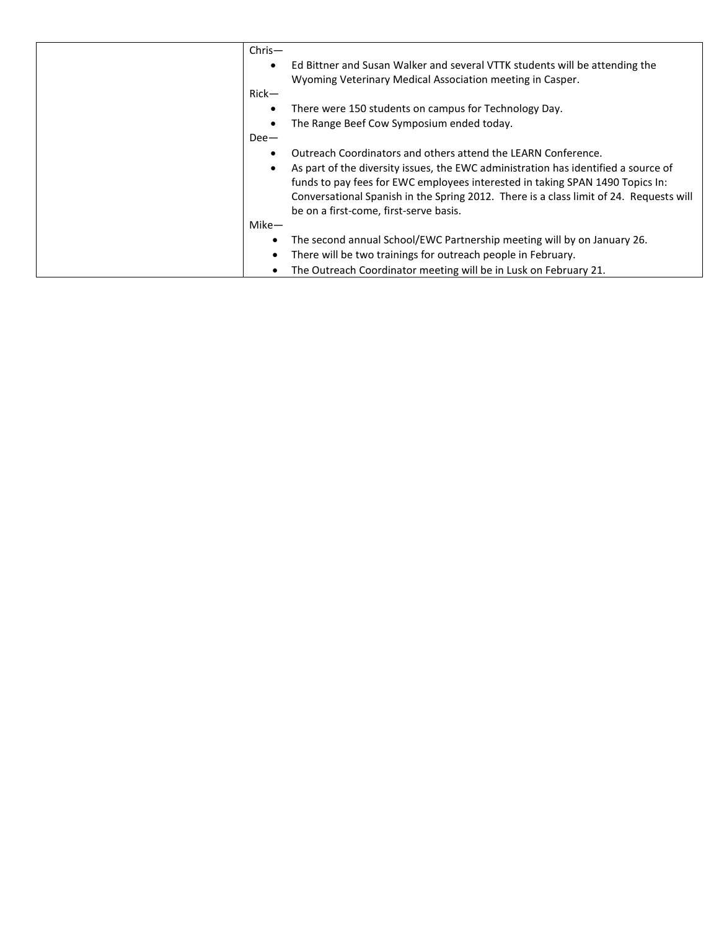| $Christ-$<br>$Rick-$ | Ed Bittner and Susan Walker and several VTTK students will be attending the<br>Wyoming Veterinary Medical Association meeting in Casper.                                                                                                                                                                                                                                 |
|----------------------|--------------------------------------------------------------------------------------------------------------------------------------------------------------------------------------------------------------------------------------------------------------------------------------------------------------------------------------------------------------------------|
|                      | There were 150 students on campus for Technology Day.<br>The Range Beef Cow Symposium ended today.                                                                                                                                                                                                                                                                       |
| $Dee-$               |                                                                                                                                                                                                                                                                                                                                                                          |
|                      | Outreach Coordinators and others attend the LEARN Conference.<br>As part of the diversity issues, the EWC administration has identified a source of<br>funds to pay fees for EWC employees interested in taking SPAN 1490 Topics In:<br>Conversational Spanish in the Spring 2012. There is a class limit of 24. Requests will<br>be on a first-come, first-serve basis. |
| $Mike-$              |                                                                                                                                                                                                                                                                                                                                                                          |
|                      | The second annual School/EWC Partnership meeting will by on January 26.                                                                                                                                                                                                                                                                                                  |
|                      | There will be two trainings for outreach people in February.                                                                                                                                                                                                                                                                                                             |
|                      | The Outreach Coordinator meeting will be in Lusk on February 21.                                                                                                                                                                                                                                                                                                         |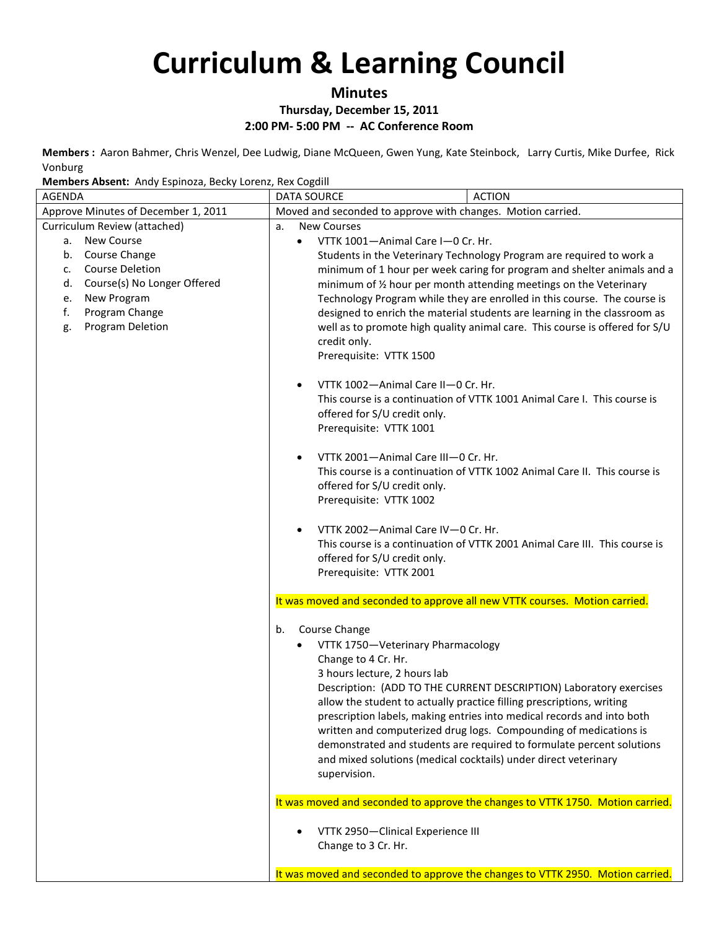**Minutes**

**Thursday, December 15, 2011**

**2:00 PM- 5:00 PM -- AC Conference Room**

**Members :** Aaron Bahmer, Chris Wenzel, Dee Ludwig, Diane McQueen, Gwen Yung, Kate Steinbock, Larry Curtis, Mike Durfee, Rick Vonburg

**Members Absent:** Andy Espinoza, Becky Lorenz, Rex Cogdill

| emsers, wooner , and , espansed, been , estene, hen cogani<br><b>AGENDA</b> | <b>ACTION</b><br><b>DATA SOURCE</b>                                                                        |  |
|-----------------------------------------------------------------------------|------------------------------------------------------------------------------------------------------------|--|
| Approve Minutes of December 1, 2011                                         | Moved and seconded to approve with changes. Motion carried.                                                |  |
| Curriculum Review (attached)                                                | <b>New Courses</b><br>a.                                                                                   |  |
| <b>New Course</b><br>a.                                                     | VTTK 1001-Animal Care I-0 Cr. Hr.<br>$\bullet$                                                             |  |
| Course Change<br>b.                                                         | Students in the Veterinary Technology Program are required to work a                                       |  |
| <b>Course Deletion</b><br>c.                                                | minimum of 1 hour per week caring for program and shelter animals and a                                    |  |
| Course(s) No Longer Offered<br>d.                                           | minimum of 1/2 hour per month attending meetings on the Veterinary                                         |  |
| New Program<br>e.                                                           | Technology Program while they are enrolled in this course. The course is                                   |  |
| Program Change<br>f.                                                        | designed to enrich the material students are learning in the classroom as                                  |  |
| Program Deletion<br>g.                                                      | well as to promote high quality animal care. This course is offered for S/U                                |  |
|                                                                             | credit only.                                                                                               |  |
|                                                                             | Prerequisite: VTTK 1500                                                                                    |  |
|                                                                             | VTTK 1002-Animal Care II-0 Cr. Hr.<br>$\bullet$                                                            |  |
|                                                                             | This course is a continuation of VTTK 1001 Animal Care I. This course is                                   |  |
|                                                                             | offered for S/U credit only.                                                                               |  |
|                                                                             | Prerequisite: VTTK 1001                                                                                    |  |
|                                                                             |                                                                                                            |  |
|                                                                             | VTTK 2001-Animal Care III-0 Cr. Hr.<br>$\bullet$                                                           |  |
|                                                                             | This course is a continuation of VTTK 1002 Animal Care II. This course is                                  |  |
|                                                                             | offered for S/U credit only.                                                                               |  |
|                                                                             | Prerequisite: VTTK 1002                                                                                    |  |
|                                                                             |                                                                                                            |  |
|                                                                             | VTTK 2002-Animal Care IV-0 Cr. Hr.<br>$\bullet$                                                            |  |
|                                                                             | This course is a continuation of VTTK 2001 Animal Care III. This course is<br>offered for S/U credit only. |  |
|                                                                             | Prerequisite: VTTK 2001                                                                                    |  |
|                                                                             |                                                                                                            |  |
|                                                                             | It was moved and seconded to approve all new VTTK courses. Motion carried.                                 |  |
|                                                                             | Course Change<br>b.                                                                                        |  |
|                                                                             | VTTK 1750-Veterinary Pharmacology<br>$\bullet$                                                             |  |
|                                                                             | Change to 4 Cr. Hr.                                                                                        |  |
|                                                                             | 3 hours lecture, 2 hours lab                                                                               |  |
|                                                                             | Description: (ADD TO THE CURRENT DESCRIPTION) Laboratory exercises                                         |  |
|                                                                             | allow the student to actually practice filling prescriptions, writing                                      |  |
|                                                                             | prescription labels, making entries into medical records and into both                                     |  |
|                                                                             | written and computerized drug logs. Compounding of medications is                                          |  |
|                                                                             | demonstrated and students are required to formulate percent solutions                                      |  |
|                                                                             | and mixed solutions (medical cocktails) under direct veterinary                                            |  |
|                                                                             | supervision.                                                                                               |  |
|                                                                             | It was moved and seconded to approve the changes to VTTK 1750. Motion carried.                             |  |
|                                                                             |                                                                                                            |  |
|                                                                             | VTTK 2950-Clinical Experience III                                                                          |  |
|                                                                             | Change to 3 Cr. Hr.                                                                                        |  |
|                                                                             | It was moved and seconded to approve the changes to VTTK 2950. Motion carried.                             |  |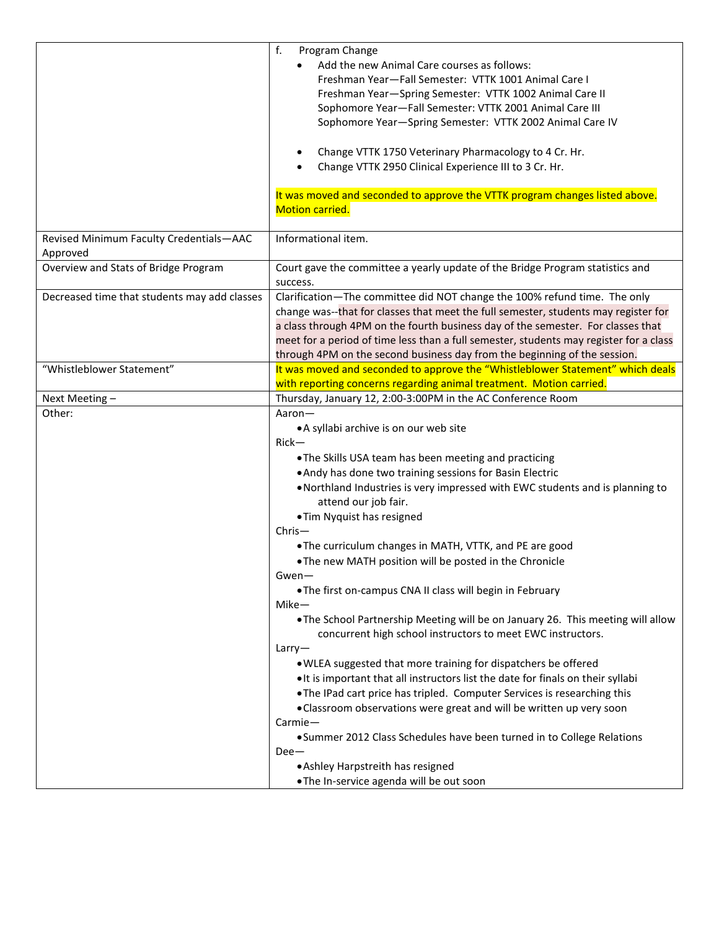|                                                     | f.<br>Program Change<br>Add the new Animal Care courses as follows:<br>Freshman Year-Fall Semester: VTTK 1001 Animal Care I<br>Freshman Year-Spring Semester: VTTK 1002 Animal Care II<br>Sophomore Year-Fall Semester: VTTK 2001 Animal Care III<br>Sophomore Year-Spring Semester: VTTK 2002 Animal Care IV                                                                                                                                                                                  |  |
|-----------------------------------------------------|------------------------------------------------------------------------------------------------------------------------------------------------------------------------------------------------------------------------------------------------------------------------------------------------------------------------------------------------------------------------------------------------------------------------------------------------------------------------------------------------|--|
|                                                     | Change VTTK 1750 Veterinary Pharmacology to 4 Cr. Hr.<br>Change VTTK 2950 Clinical Experience III to 3 Cr. Hr.                                                                                                                                                                                                                                                                                                                                                                                 |  |
|                                                     | It was moved and seconded to approve the VTTK program changes listed above.<br><b>Motion carried.</b>                                                                                                                                                                                                                                                                                                                                                                                          |  |
| Revised Minimum Faculty Credentials-AAC<br>Approved | Informational item.                                                                                                                                                                                                                                                                                                                                                                                                                                                                            |  |
| Overview and Stats of Bridge Program                | Court gave the committee a yearly update of the Bridge Program statistics and<br>success.                                                                                                                                                                                                                                                                                                                                                                                                      |  |
| Decreased time that students may add classes        | Clarification-The committee did NOT change the 100% refund time. The only<br>change was--that for classes that meet the full semester, students may register for<br>a class through 4PM on the fourth business day of the semester. For classes that<br>meet for a period of time less than a full semester, students may register for a class<br>through 4PM on the second business day from the beginning of the session.                                                                    |  |
| "Whistleblower Statement"                           | It was moved and seconded to approve the "Whistleblower Statement" which deals<br>with reporting concerns regarding animal treatment. Motion carried.                                                                                                                                                                                                                                                                                                                                          |  |
| Next Meeting-                                       | Thursday, January 12, 2:00-3:00PM in the AC Conference Room                                                                                                                                                                                                                                                                                                                                                                                                                                    |  |
| Other:                                              | Aaron-<br>• A syllabi archive is on our web site<br>$Rick-$<br>. The Skills USA team has been meeting and practicing<br>. Andy has done two training sessions for Basin Electric<br>. Northland Industries is very impressed with EWC students and is planning to<br>attend our job fair.                                                                                                                                                                                                      |  |
|                                                     | • Tim Nyquist has resigned<br>$Christ-$<br>. The curriculum changes in MATH, VTTK, and PE are good<br>. The new MATH position will be posted in the Chronicle<br>$Gwen-$<br>. The first on-campus CNA II class will begin in February<br>Mike-<br>. The School Partnership Meeting will be on January 26. This meeting will allow<br>concurrent high school instructors to meet EWC instructors.                                                                                               |  |
|                                                     | Larry<br>. WLEA suggested that more training for dispatchers be offered<br>. It is important that all instructors list the date for finals on their syllabi<br>. The IPad cart price has tripled. Computer Services is researching this<br>. Classroom observations were great and will be written up very soon<br>Carmie-<br>• Summer 2012 Class Schedules have been turned in to College Relations<br>$Dee-$<br>• Ashley Harpstreith has resigned<br>.The In-service agenda will be out soon |  |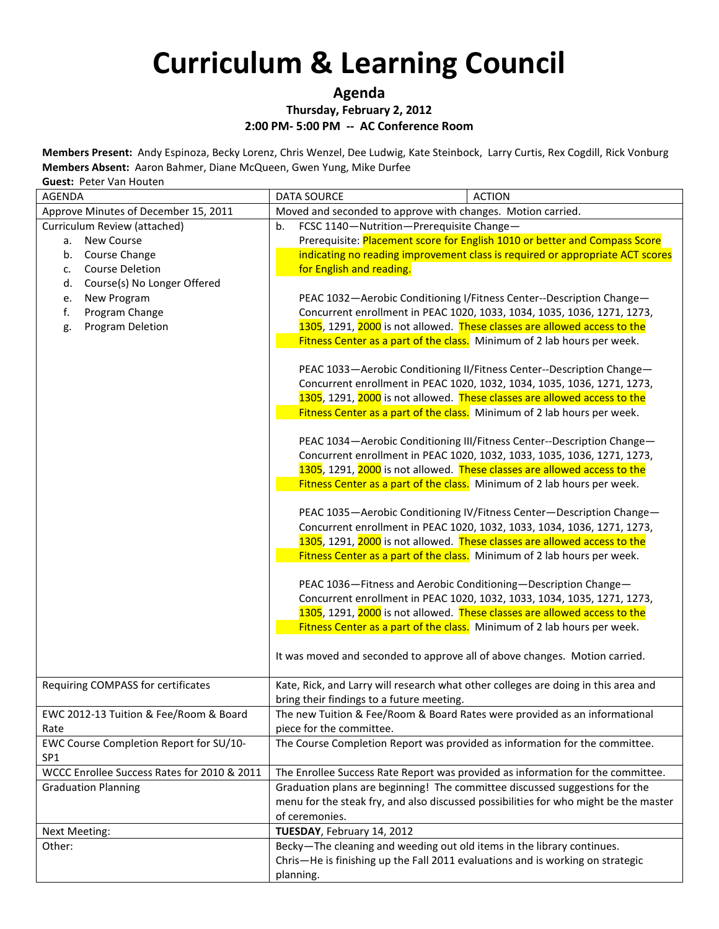### **Agenda**

#### **Thursday, February 2, 2012**

#### **2:00 PM- 5:00 PM -- AC Conference Room**

**Members Present:** Andy Espinoza, Becky Lorenz, Chris Wenzel, Dee Ludwig, Kate Steinbock, Larry Curtis, Rex Cogdill, Rick Vonburg **Members Absent:** Aaron Bahmer, Diane McQueen, Gwen Yung, Mike Durfee

**Guest:** Peter Van Houten

| <b>AGENDA</b>                               | <b>DATA SOURCE</b><br><b>ACTION</b>                                                  |  |
|---------------------------------------------|--------------------------------------------------------------------------------------|--|
| Approve Minutes of December 15, 2011        | Moved and seconded to approve with changes. Motion carried.                          |  |
| Curriculum Review (attached)                | FCSC 1140-Nutrition-Prerequisite Change-<br>b.                                       |  |
| <b>New Course</b><br>а.                     | Prerequisite: Placement score for English 1010 or better and Compass Score           |  |
| Course Change<br>b.                         | indicating no reading improvement class is required or appropriate ACT scores        |  |
| <b>Course Deletion</b><br>C <sub>1</sub>    | for English and reading.                                                             |  |
| Course(s) No Longer Offered<br>d.           |                                                                                      |  |
| New Program<br>e.                           | PEAC 1032-Aerobic Conditioning I/Fitness Center--Description Change-                 |  |
| f.<br>Program Change                        | Concurrent enrollment in PEAC 1020, 1033, 1034, 1035, 1036, 1271, 1273,              |  |
| Program Deletion<br>g.                      | 1305, 1291, 2000 is not allowed. These classes are allowed access to the             |  |
|                                             | Fitness Center as a part of the class. Minimum of 2 lab hours per week.              |  |
|                                             | PEAC 1033-Aerobic Conditioning II/Fitness Center--Description Change-                |  |
|                                             | Concurrent enrollment in PEAC 1020, 1032, 1034, 1035, 1036, 1271, 1273,              |  |
|                                             | 1305, 1291, 2000 is not allowed. These classes are allowed access to the             |  |
|                                             | Fitness Center as a part of the class. Minimum of 2 lab hours per week.              |  |
|                                             |                                                                                      |  |
|                                             | PEAC 1034-Aerobic Conditioning III/Fitness Center--Description Change-               |  |
|                                             | Concurrent enrollment in PEAC 1020, 1032, 1033, 1035, 1036, 1271, 1273,              |  |
|                                             | 1305, 1291, 2000 is not allowed. These classes are allowed access to the             |  |
|                                             | Fitness Center as a part of the class. Minimum of 2 lab hours per week.              |  |
|                                             |                                                                                      |  |
|                                             | PEAC 1035-Aerobic Conditioning IV/Fitness Center-Description Change-                 |  |
|                                             | Concurrent enrollment in PEAC 1020, 1032, 1033, 1034, 1036, 1271, 1273,              |  |
|                                             | 1305, 1291, 2000 is not allowed. These classes are allowed access to the             |  |
|                                             | Fitness Center as a part of the class. Minimum of 2 lab hours per week.              |  |
|                                             |                                                                                      |  |
|                                             | PEAC 1036-Fitness and Aerobic Conditioning-Description Change-                       |  |
|                                             | Concurrent enrollment in PEAC 1020, 1032, 1033, 1034, 1035, 1271, 1273,              |  |
|                                             | 1305, 1291, 2000 is not allowed. These classes are allowed access to the             |  |
|                                             | Fitness Center as a part of the class. Minimum of 2 lab hours per week.              |  |
|                                             | It was moved and seconded to approve all of above changes. Motion carried.           |  |
|                                             |                                                                                      |  |
| Requiring COMPASS for certificates          | Kate, Rick, and Larry will research what other colleges are doing in this area and   |  |
|                                             | bring their findings to a future meeting.                                            |  |
| EWC 2012-13 Tuition & Fee/Room & Board      | The new Tuition & Fee/Room & Board Rates were provided as an informational           |  |
| Rate                                        | piece for the committee.                                                             |  |
| EWC Course Completion Report for SU/10-     | The Course Completion Report was provided as information for the committee.          |  |
| SP <sub>1</sub>                             |                                                                                      |  |
| WCCC Enrollee Success Rates for 2010 & 2011 | The Enrollee Success Rate Report was provided as information for the committee.      |  |
| <b>Graduation Planning</b>                  | Graduation plans are beginning! The committee discussed suggestions for the          |  |
|                                             | menu for the steak fry, and also discussed possibilities for who might be the master |  |
|                                             | of ceremonies.                                                                       |  |
| Next Meeting:                               | TUESDAY, February 14, 2012                                                           |  |
| Other:                                      | Becky-The cleaning and weeding out old items in the library continues.               |  |
|                                             | Chris-He is finishing up the Fall 2011 evaluations and is working on strategic       |  |
|                                             | planning.                                                                            |  |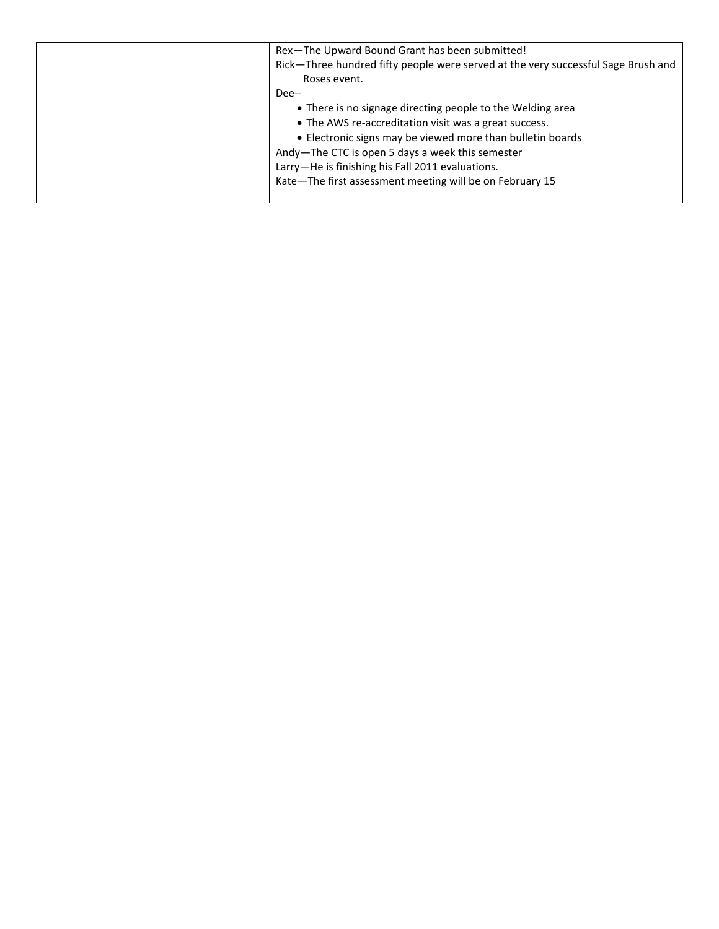| Rex-The Upward Bound Grant has been submitted!                                    |
|-----------------------------------------------------------------------------------|
| Rick-Three hundred fifty people were served at the very successful Sage Brush and |
| Roses event.                                                                      |
| Dee--                                                                             |
| • There is no signage directing people to the Welding area                        |
| • The AWS re-accreditation visit was a great success.                             |
| • Electronic signs may be viewed more than bulletin boards                        |
| Andy-The CTC is open 5 days a week this semester                                  |
| Larry-He is finishing his Fall 2011 evaluations.                                  |
| Kate-The first assessment meeting will be on February 15                          |
|                                                                                   |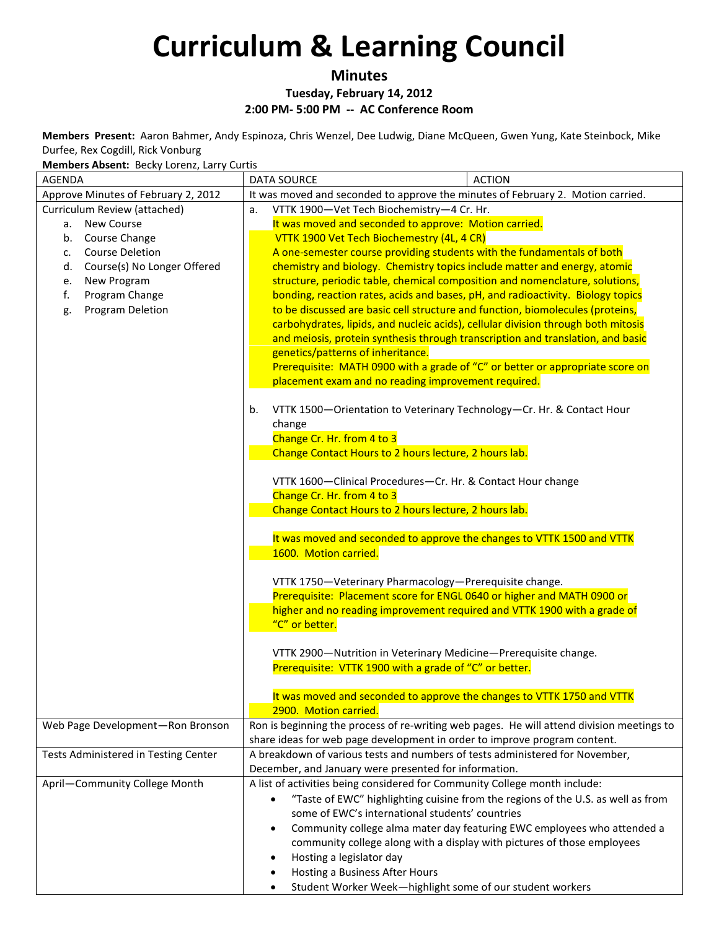### **Minutes**

**Tuesday, February 14, 2012**

**2:00 PM- 5:00 PM -- AC Conference Room**

**Members Present:** Aaron Bahmer, Andy Espinoza, Chris Wenzel, Dee Ludwig, Diane McQueen, Gwen Yung, Kate Steinbock, Mike Durfee, Rex Cogdill, Rick Vonburg

**Members Absent:** Becky Lorenz, Larry Curtis

| <b>AGENDA</b>                        | <b>ACTION</b><br><b>DATA SOURCE</b>                                                                                                                                  |  |
|--------------------------------------|----------------------------------------------------------------------------------------------------------------------------------------------------------------------|--|
| Approve Minutes of February 2, 2012  | It was moved and seconded to approve the minutes of February 2. Motion carried.                                                                                      |  |
| Curriculum Review (attached)         | VTTK 1900-Vet Tech Biochemistry-4 Cr. Hr.<br>a.                                                                                                                      |  |
| New Course<br>а.                     | It was moved and seconded to approve: Motion carried.                                                                                                                |  |
| Course Change<br>b.                  | VTTK 1900 Vet Tech Biochemestry (4L, 4 CR)                                                                                                                           |  |
| <b>Course Deletion</b><br>c.         | A one-semester course providing students with the fundamentals of both                                                                                               |  |
| Course(s) No Longer Offered<br>d.    | chemistry and biology. Chemistry topics include matter and energy, atomic                                                                                            |  |
| New Program<br>e.                    | structure, periodic table, chemical composition and nomenclature, solutions,                                                                                         |  |
| Program Change<br>f.                 | bonding, reaction rates, acids and bases, pH, and radioactivity. Biology topics                                                                                      |  |
| Program Deletion<br>g.               | to be discussed are basic cell structure and function, biomolecules (proteins,                                                                                       |  |
|                                      | carbohydrates, lipids, and nucleic acids), cellular division through both mitosis<br>and meiosis, protein synthesis through transcription and translation, and basic |  |
|                                      | genetics/patterns of inheritance.                                                                                                                                    |  |
|                                      | Prerequisite: MATH 0900 with a grade of "C" or better or appropriate score on                                                                                        |  |
|                                      | placement exam and no reading improvement required.                                                                                                                  |  |
|                                      |                                                                                                                                                                      |  |
|                                      | VTTK 1500-Orientation to Veterinary Technology-Cr. Hr. & Contact Hour<br>b.                                                                                          |  |
|                                      | change                                                                                                                                                               |  |
|                                      | Change Cr. Hr. from 4 to 3                                                                                                                                           |  |
|                                      | Change Contact Hours to 2 hours lecture, 2 hours lab.                                                                                                                |  |
|                                      |                                                                                                                                                                      |  |
|                                      | VTTK 1600-Clinical Procedures-Cr. Hr. & Contact Hour change                                                                                                          |  |
|                                      | Change Cr. Hr. from 4 to 3<br>Change Contact Hours to 2 hours lecture, 2 hours lab.                                                                                  |  |
|                                      |                                                                                                                                                                      |  |
|                                      | It was moved and seconded to approve the changes to VTTK 1500 and VTTK                                                                                               |  |
|                                      | 1600. Motion carried.                                                                                                                                                |  |
|                                      |                                                                                                                                                                      |  |
|                                      | VTTK 1750-Veterinary Pharmacology-Prerequisite change.                                                                                                               |  |
|                                      | Prerequisite: Placement score for ENGL 0640 or higher and MATH 0900 or                                                                                               |  |
|                                      | higher and no reading improvement required and VTTK 1900 with a grade of                                                                                             |  |
|                                      | "C" or better.                                                                                                                                                       |  |
|                                      | VTTK 2900-Nutrition in Veterinary Medicine-Prerequisite change.                                                                                                      |  |
|                                      | Prerequisite: VTTK 1900 with a grade of "C" or better.                                                                                                               |  |
|                                      |                                                                                                                                                                      |  |
|                                      | It was moved and seconded to approve the changes to VTTK 1750 and VTTK                                                                                               |  |
|                                      | 2900. Motion carried.                                                                                                                                                |  |
| Web Page Development-Ron Bronson     | Ron is beginning the process of re-writing web pages. He will attend division meetings to                                                                            |  |
|                                      | share ideas for web page development in order to improve program content.                                                                                            |  |
| Tests Administered in Testing Center | A breakdown of various tests and numbers of tests administered for November,                                                                                         |  |
|                                      | December, and January were presented for information.                                                                                                                |  |
| April-Community College Month        | A list of activities being considered for Community College month include:                                                                                           |  |
|                                      | "Taste of EWC" highlighting cuisine from the regions of the U.S. as well as from<br>$\bullet$                                                                        |  |
|                                      | some of EWC's international students' countries                                                                                                                      |  |
|                                      | Community college alma mater day featuring EWC employees who attended a<br>$\bullet$                                                                                 |  |
|                                      | community college along with a display with pictures of those employees                                                                                              |  |
|                                      | Hosting a legislator day<br>$\bullet$                                                                                                                                |  |
|                                      | Hosting a Business After Hours<br>$\bullet$                                                                                                                          |  |
|                                      | Student Worker Week-highlight some of our student workers<br>$\bullet$                                                                                               |  |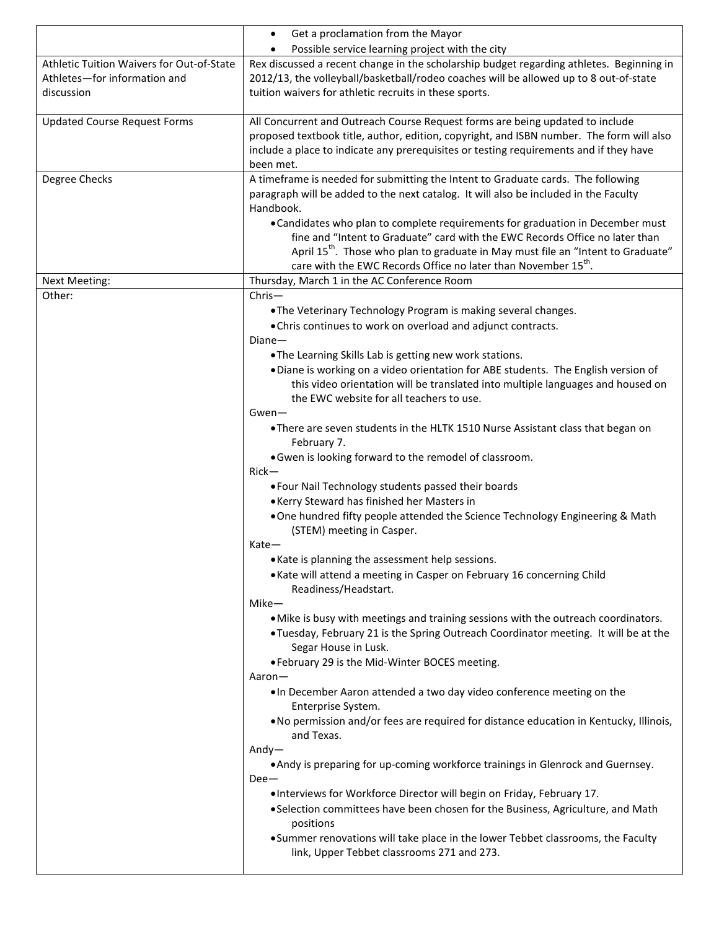|                                                                                         | Get a proclamation from the Mayor<br>$\bullet$<br>Possible service learning project with the city<br>$\bullet$                                                                                                                                                                                                                                                                                                                                                                                                                        |
|-----------------------------------------------------------------------------------------|---------------------------------------------------------------------------------------------------------------------------------------------------------------------------------------------------------------------------------------------------------------------------------------------------------------------------------------------------------------------------------------------------------------------------------------------------------------------------------------------------------------------------------------|
| Athletic Tuition Waivers for Out-of-State<br>Athletes-for information and<br>discussion | Rex discussed a recent change in the scholarship budget regarding athletes. Beginning in<br>2012/13, the volleyball/basketball/rodeo coaches will be allowed up to 8 out-of-state<br>tuition waivers for athletic recruits in these sports.                                                                                                                                                                                                                                                                                           |
| <b>Updated Course Request Forms</b>                                                     | All Concurrent and Outreach Course Request forms are being updated to include<br>proposed textbook title, author, edition, copyright, and ISBN number. The form will also<br>include a place to indicate any prerequisites or testing requirements and if they have<br>been met.                                                                                                                                                                                                                                                      |
| Degree Checks                                                                           | A timeframe is needed for submitting the Intent to Graduate cards. The following<br>paragraph will be added to the next catalog. It will also be included in the Faculty<br>Handbook.<br>• Candidates who plan to complete requirements for graduation in December must<br>fine and "Intent to Graduate" card with the EWC Records Office no later than<br>April 15 <sup>th</sup> . Those who plan to graduate in May must file an "Intent to Graduate"<br>care with the EWC Records Office no later than November 15 <sup>th</sup> . |
| Next Meeting:                                                                           | Thursday, March 1 in the AC Conference Room                                                                                                                                                                                                                                                                                                                                                                                                                                                                                           |
| Other:                                                                                  | $Christ-$<br>.The Veterinary Technology Program is making several changes.<br>. Chris continues to work on overload and adjunct contracts.<br>$Diane-$<br>. The Learning Skills Lab is getting new work stations.<br>. Diane is working on a video orientation for ABE students. The English version of                                                                                                                                                                                                                               |
|                                                                                         | this video orientation will be translated into multiple languages and housed on<br>the EWC website for all teachers to use.<br>$Gwen-$<br>. There are seven students in the HLTK 1510 Nurse Assistant class that began on                                                                                                                                                                                                                                                                                                             |
|                                                                                         | February 7.<br>. Gwen is looking forward to the remodel of classroom.<br>$Rick-$<br>. Four Nail Technology students passed their boards<br>• Kerry Steward has finished her Masters in<br>. One hundred fifty people attended the Science Technology Engineering & Math                                                                                                                                                                                                                                                               |
|                                                                                         | (STEM) meeting in Casper.<br>$Kate-$<br>. Kate is planning the assessment help sessions.<br>. Kate will attend a meeting in Casper on February 16 concerning Child<br>Readiness/Headstart.                                                                                                                                                                                                                                                                                                                                            |
|                                                                                         | Mike-<br>. Mike is busy with meetings and training sessions with the outreach coordinators.<br>. Tuesday, February 21 is the Spring Outreach Coordinator meeting. It will be at the<br>Segar House in Lusk.<br>. February 29 is the Mid-Winter BOCES meeting.                                                                                                                                                                                                                                                                         |
|                                                                                         | Aaron—<br>. In December Aaron attended a two day video conference meeting on the<br>Enterprise System.<br>. No permission and/or fees are required for distance education in Kentucky, Illinois,<br>and Texas.                                                                                                                                                                                                                                                                                                                        |
|                                                                                         | $Andy-$<br>. Andy is preparing for up-coming workforce trainings in Glenrock and Guernsey.<br>$Dee-$<br>.17 . Interviews for Workforce Director will begin on Friday, February 17<br>. Selection committees have been chosen for the Business, Agriculture, and Math<br>positions<br>• Summer renovations will take place in the lower Tebbet classrooms, the Faculty<br>link, Upper Tebbet classrooms 271 and 273.                                                                                                                   |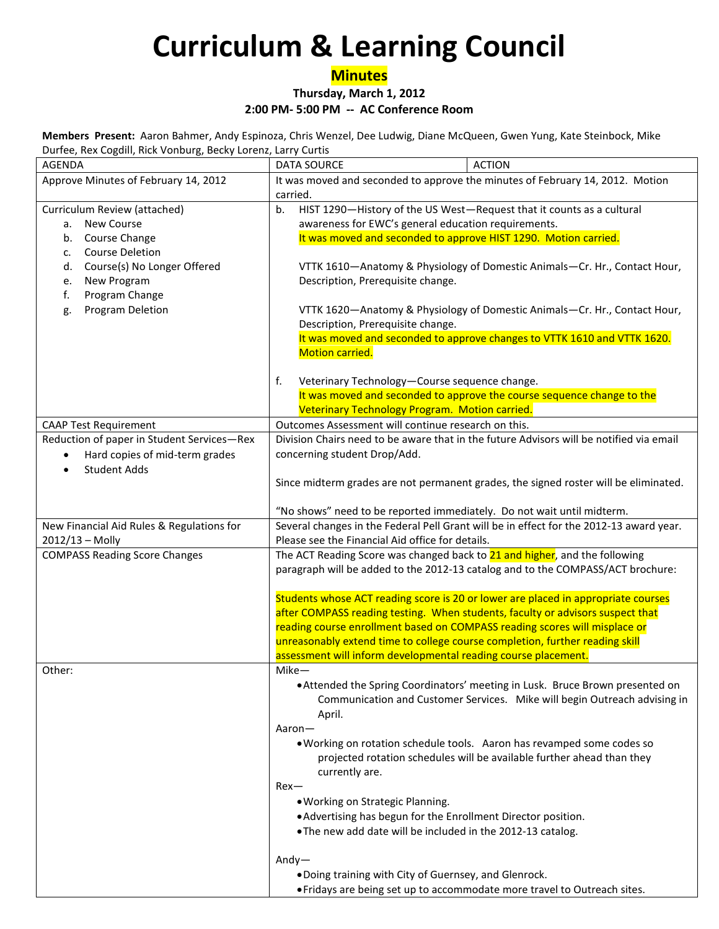## **Minutes**

**Thursday, March 1, 2012**

**2:00 PM- 5:00 PM -- AC Conference Room**

**Members Present:** Aaron Bahmer, Andy Espinoza, Chris Wenzel, Dee Ludwig, Diane McQueen, Gwen Yung, Kate Steinbock, Mike Durfee, Rex Cogdill, Rick Vonburg, Becky Lorenz, Larry Curtis

| AGENDA                                                                                                                        | <b>ACTION</b><br><b>DATA SOURCE</b>                                                                                                                                                                                                                                                                                                                                                                 |  |
|-------------------------------------------------------------------------------------------------------------------------------|-----------------------------------------------------------------------------------------------------------------------------------------------------------------------------------------------------------------------------------------------------------------------------------------------------------------------------------------------------------------------------------------------------|--|
| Approve Minutes of February 14, 2012                                                                                          | It was moved and seconded to approve the minutes of February 14, 2012. Motion                                                                                                                                                                                                                                                                                                                       |  |
|                                                                                                                               | carried.                                                                                                                                                                                                                                                                                                                                                                                            |  |
| Curriculum Review (attached)<br>New Course<br>а.<br>Course Change<br>b.<br><b>Course Deletion</b><br>c.                       | HIST 1290-History of the US West-Request that it counts as a cultural<br>b.<br>awareness for EWC's general education requirements.<br>It was moved and seconded to approve HIST 1290. Motion carried.                                                                                                                                                                                               |  |
| Course(s) No Longer Offered<br>d.<br>New Program<br>e.<br>f.<br>Program Change                                                | VTTK 1610-Anatomy & Physiology of Domestic Animals-Cr. Hr., Contact Hour,<br>Description, Prerequisite change.                                                                                                                                                                                                                                                                                      |  |
| Program Deletion<br>g.                                                                                                        | VTTK 1620-Anatomy & Physiology of Domestic Animals-Cr. Hr., Contact Hour,<br>Description, Prerequisite change.<br>It was moved and seconded to approve changes to VTTK 1610 and VTTK 1620.                                                                                                                                                                                                          |  |
|                                                                                                                               | Motion carried.                                                                                                                                                                                                                                                                                                                                                                                     |  |
|                                                                                                                               | f.<br>Veterinary Technology-Course sequence change.                                                                                                                                                                                                                                                                                                                                                 |  |
|                                                                                                                               | It was moved and seconded to approve the course sequence change to the                                                                                                                                                                                                                                                                                                                              |  |
|                                                                                                                               | Veterinary Technology Program. Motion carried.                                                                                                                                                                                                                                                                                                                                                      |  |
| <b>CAAP Test Requirement</b>                                                                                                  | Outcomes Assessment will continue research on this.                                                                                                                                                                                                                                                                                                                                                 |  |
| Reduction of paper in Student Services-Rex<br>Hard copies of mid-term grades<br>$\bullet$<br><b>Student Adds</b><br>$\bullet$ | Division Chairs need to be aware that in the future Advisors will be notified via email<br>concerning student Drop/Add.                                                                                                                                                                                                                                                                             |  |
|                                                                                                                               | Since midterm grades are not permanent grades, the signed roster will be eliminated.                                                                                                                                                                                                                                                                                                                |  |
|                                                                                                                               | "No shows" need to be reported immediately. Do not wait until midterm.                                                                                                                                                                                                                                                                                                                              |  |
| New Financial Aid Rules & Regulations for                                                                                     | Several changes in the Federal Pell Grant will be in effect for the 2012-13 award year.                                                                                                                                                                                                                                                                                                             |  |
| $2012/13 - Molly$                                                                                                             | Please see the Financial Aid office for details.                                                                                                                                                                                                                                                                                                                                                    |  |
| <b>COMPASS Reading Score Changes</b>                                                                                          | The ACT Reading Score was changed back to 21 and higher, and the following<br>paragraph will be added to the 2012-13 catalog and to the COMPASS/ACT brochure:                                                                                                                                                                                                                                       |  |
|                                                                                                                               | Students whose ACT reading score is 20 or lower are placed in appropriate courses<br>after COMPASS reading testing. When students, faculty or advisors suspect that<br>reading course enrollment based on COMPASS reading scores will misplace or<br>unreasonably extend time to college course completion, further reading skill<br>assessment will inform developmental reading course placement. |  |
| Other:                                                                                                                        | Mike-                                                                                                                                                                                                                                                                                                                                                                                               |  |
|                                                                                                                               | . Attended the Spring Coordinators' meeting in Lusk. Bruce Brown presented on<br>Communication and Customer Services. Mike will begin Outreach advising in<br>April.                                                                                                                                                                                                                                |  |
|                                                                                                                               | Aaron-<br>. Working on rotation schedule tools. Aaron has revamped some codes so<br>projected rotation schedules will be available further ahead than they<br>currently are.                                                                                                                                                                                                                        |  |
|                                                                                                                               | $Rex-$<br>. Working on Strategic Planning.                                                                                                                                                                                                                                                                                                                                                          |  |
|                                                                                                                               | . Advertising has begun for the Enrollment Director position.<br>. The new add date will be included in the 2012-13 catalog.                                                                                                                                                                                                                                                                        |  |
|                                                                                                                               | $Andy-$                                                                                                                                                                                                                                                                                                                                                                                             |  |
|                                                                                                                               | . Doing training with City of Guernsey, and Glenrock.<br>• Fridays are being set up to accommodate more travel to Outreach sites.                                                                                                                                                                                                                                                                   |  |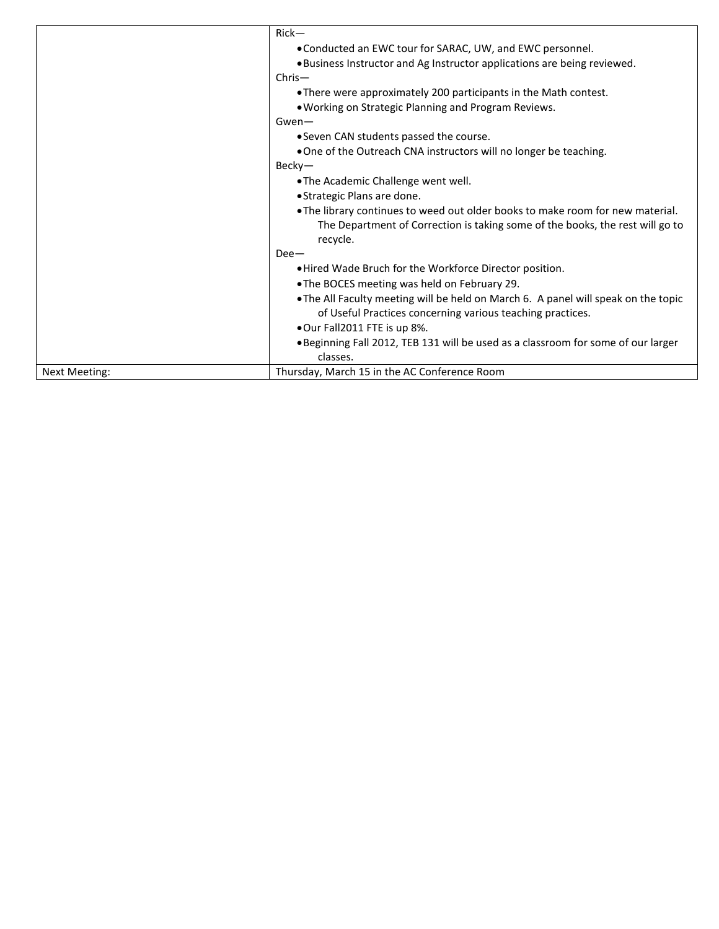|               | $Rick-$                                                                            |
|---------------|------------------------------------------------------------------------------------|
|               | • Conducted an EWC tour for SARAC, UW, and EWC personnel.                          |
|               | . Business Instructor and Ag Instructor applications are being reviewed.           |
|               | $Christ-$                                                                          |
|               | • There were approximately 200 participants in the Math contest.                   |
|               | . Working on Strategic Planning and Program Reviews.                               |
|               | $Gwen-$                                                                            |
|               | • Seven CAN students passed the course.                                            |
|               | . One of the Outreach CNA instructors will no longer be teaching.                  |
|               | Becky-                                                                             |
|               | .The Academic Challenge went well.                                                 |
|               | • Strategic Plans are done.                                                        |
|               | • The library continues to weed out older books to make room for new material.     |
|               | The Department of Correction is taking some of the books, the rest will go to      |
|               | recycle.                                                                           |
|               | $Dee-$                                                                             |
|               | . Hired Wade Bruch for the Workforce Director position.                            |
|               | • The BOCES meeting was held on February 29.                                       |
|               | . The All Faculty meeting will be held on March 6. A panel will speak on the topic |
|               | of Useful Practices concerning various teaching practices.                         |
|               | .Our Fall2011 FTE is up 8%.                                                        |
|               | . Beginning Fall 2012, TEB 131 will be used as a classroom for some of our larger  |
|               | classes.                                                                           |
| Next Meeting: | Thursday, March 15 in the AC Conference Room                                       |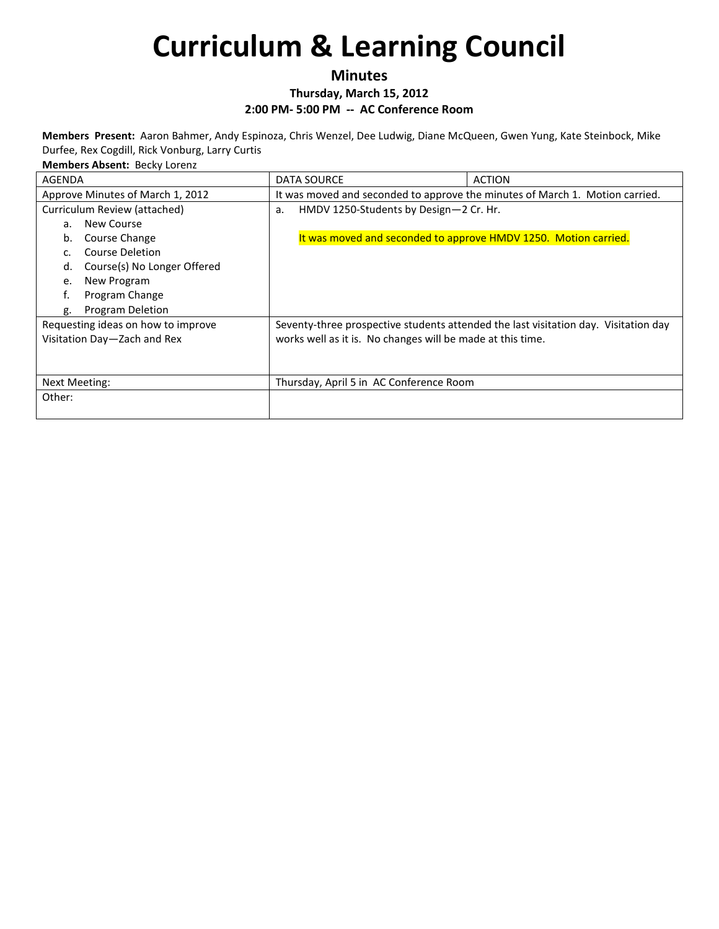**Minutes**

**Thursday, March 15, 2012**

**2:00 PM- 5:00 PM -- AC Conference Room**

**Members Present:** Aaron Bahmer, Andy Espinoza, Chris Wenzel, Dee Ludwig, Diane McQueen, Gwen Yung, Kate Steinbock, Mike Durfee, Rex Cogdill, Rick Vonburg, Larry Curtis

| <b>Members Absent: Becky Lorenz</b> |  |
|-------------------------------------|--|
|-------------------------------------|--|

| AGENDA                             | DATA SOURCE                                                                  | <b>ACTION</b>                                                                       |
|------------------------------------|------------------------------------------------------------------------------|-------------------------------------------------------------------------------------|
| Approve Minutes of March 1, 2012   | It was moved and seconded to approve the minutes of March 1. Motion carried. |                                                                                     |
| Curriculum Review (attached)       | HMDV 1250-Students by Design-2 Cr. Hr.<br>a.                                 |                                                                                     |
| New Course<br>a.                   |                                                                              |                                                                                     |
| Course Change<br>b.                | It was moved and seconded to approve HMDV 1250. Motion carried.              |                                                                                     |
| Course Deletion<br>C.              |                                                                              |                                                                                     |
| Course(s) No Longer Offered<br>d.  |                                                                              |                                                                                     |
| New Program<br>e.                  |                                                                              |                                                                                     |
| f.<br>Program Change               |                                                                              |                                                                                     |
| <b>Program Deletion</b><br>g.      |                                                                              |                                                                                     |
| Requesting ideas on how to improve |                                                                              | Seventy-three prospective students attended the last visitation day. Visitation day |
| Visitation Day-Zach and Rex        | works well as it is. No changes will be made at this time.                   |                                                                                     |
|                                    |                                                                              |                                                                                     |
|                                    |                                                                              |                                                                                     |
| <b>Next Meeting:</b>               | Thursday, April 5 in AC Conference Room                                      |                                                                                     |
| Other:                             |                                                                              |                                                                                     |
|                                    |                                                                              |                                                                                     |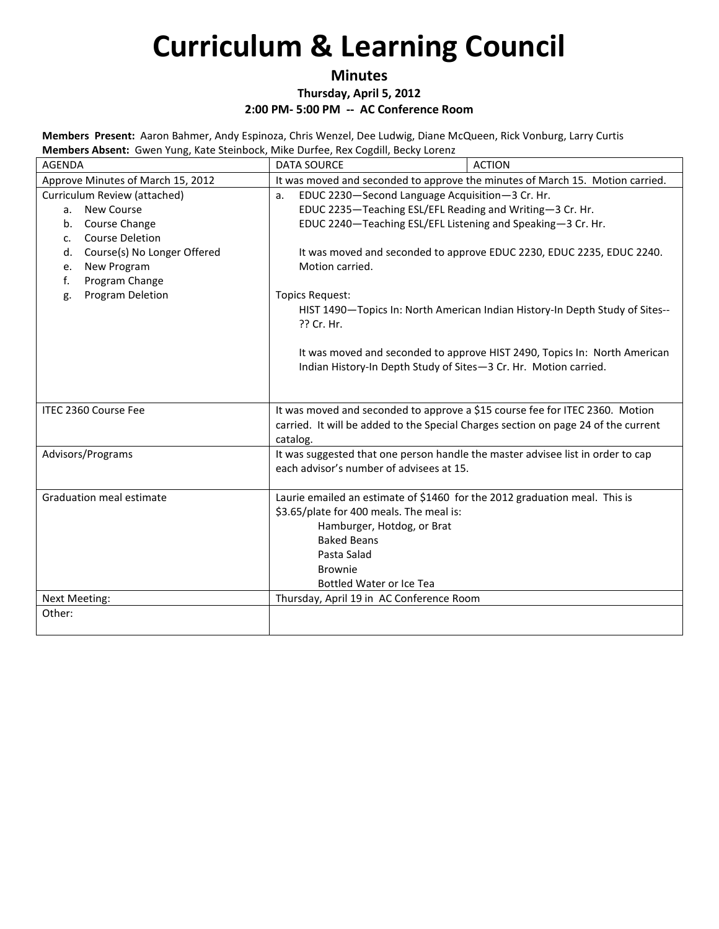### **Minutes**

**Thursday, April 5, 2012**

**2:00 PM- 5:00 PM -- AC Conference Room**

**Members Present:** Aaron Bahmer, Andy Espinoza, Chris Wenzel, Dee Ludwig, Diane McQueen, Rick Vonburg, Larry Curtis **Members Absent:** Gwen Yung, Kate Steinbock, Mike Durfee, Rex Cogdill, Becky Lorenz

| <b>AGENDA</b>                            | <b>DATA SOURCE</b>                                                                                                          | <b>ACTION</b>                                                                      |
|------------------------------------------|-----------------------------------------------------------------------------------------------------------------------------|------------------------------------------------------------------------------------|
| Approve Minutes of March 15, 2012        | It was moved and seconded to approve the minutes of March 15. Motion carried.                                               |                                                                                    |
| Curriculum Review (attached)             | EDUC 2230-Second Language Acquisition-3 Cr. Hr.<br>a.                                                                       |                                                                                    |
| a. New Course                            | EDUC 2235-Teaching ESL/EFL Reading and Writing-3 Cr. Hr.                                                                    |                                                                                    |
| b. Course Change                         | EDUC 2240-Teaching ESL/EFL Listening and Speaking-3 Cr. Hr.                                                                 |                                                                                    |
| <b>Course Deletion</b><br>c.             |                                                                                                                             |                                                                                    |
| Course(s) No Longer Offered<br>d.        | It was moved and seconded to approve EDUC 2230, EDUC 2235, EDUC 2240.                                                       |                                                                                    |
| New Program<br>e.                        | Motion carried.                                                                                                             |                                                                                    |
| Program Change<br>f.<br>Program Deletion |                                                                                                                             |                                                                                    |
| g.                                       | <b>Topics Request:</b><br>HIST 1490-Topics In: North American Indian History-In Depth Study of Sites--                      |                                                                                    |
|                                          | ?? Cr. Hr.                                                                                                                  |                                                                                    |
|                                          |                                                                                                                             |                                                                                    |
|                                          |                                                                                                                             | It was moved and seconded to approve HIST 2490, Topics In: North American          |
|                                          | Indian History-In Depth Study of Sites-3 Cr. Hr. Motion carried.                                                            |                                                                                    |
|                                          |                                                                                                                             |                                                                                    |
|                                          |                                                                                                                             |                                                                                    |
| ITEC 2360 Course Fee                     | It was moved and seconded to approve a \$15 course fee for ITEC 2360. Motion                                                |                                                                                    |
|                                          |                                                                                                                             | carried. It will be added to the Special Charges section on page 24 of the current |
|                                          | catalog.                                                                                                                    |                                                                                    |
| Advisors/Programs                        | It was suggested that one person handle the master advisee list in order to cap<br>each advisor's number of advisees at 15. |                                                                                    |
|                                          |                                                                                                                             |                                                                                    |
| <b>Graduation meal estimate</b>          | Laurie emailed an estimate of \$1460 for the 2012 graduation meal. This is                                                  |                                                                                    |
|                                          | \$3.65/plate for 400 meals. The meal is:                                                                                    |                                                                                    |
|                                          | Hamburger, Hotdog, or Brat                                                                                                  |                                                                                    |
|                                          | <b>Baked Beans</b>                                                                                                          |                                                                                    |
|                                          | Pasta Salad                                                                                                                 |                                                                                    |
|                                          | <b>Brownie</b>                                                                                                              |                                                                                    |
|                                          | Bottled Water or Ice Tea                                                                                                    |                                                                                    |
| <b>Next Meeting:</b>                     | Thursday, April 19 in AC Conference Room                                                                                    |                                                                                    |
| Other:                                   |                                                                                                                             |                                                                                    |
|                                          |                                                                                                                             |                                                                                    |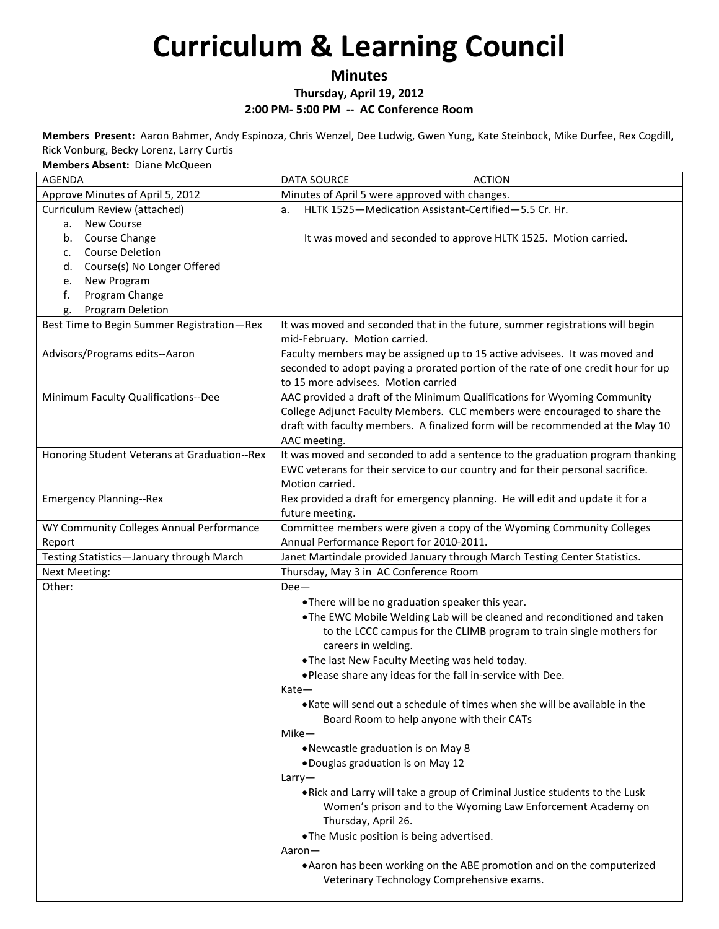## **Minutes**

### **Thursday, April 19, 2012**

### **2:00 PM- 5:00 PM -- AC Conference Room**

**Members Present:** Aaron Bahmer, Andy Espinoza, Chris Wenzel, Dee Ludwig, Gwen Yung, Kate Steinbock, Mike Durfee, Rex Cogdill, Rick Vonburg, Becky Lorenz, Larry Curtis

| Members Absent: Diane McQueen                |                                                                                                                |                                                                                   |
|----------------------------------------------|----------------------------------------------------------------------------------------------------------------|-----------------------------------------------------------------------------------|
| <b>AGENDA</b>                                | <b>DATA SOURCE</b>                                                                                             | <b>ACTION</b>                                                                     |
| Approve Minutes of April 5, 2012             | Minutes of April 5 were approved with changes.                                                                 |                                                                                   |
| Curriculum Review (attached)                 | HLTK 1525-Medication Assistant-Certified-5.5 Cr. Hr.<br>a.                                                     |                                                                                   |
| New Course<br>a.                             |                                                                                                                |                                                                                   |
| Course Change<br>b.                          |                                                                                                                | It was moved and seconded to approve HLTK 1525. Motion carried.                   |
| <b>Course Deletion</b><br>c.                 |                                                                                                                |                                                                                   |
| Course(s) No Longer Offered<br>d.            |                                                                                                                |                                                                                   |
| New Program<br>e.                            |                                                                                                                |                                                                                   |
| Program Change<br>f.                         |                                                                                                                |                                                                                   |
| <b>Program Deletion</b><br>g.                |                                                                                                                |                                                                                   |
| Best Time to Begin Summer Registration-Rex   | It was moved and seconded that in the future, summer registrations will begin<br>mid-February. Motion carried. |                                                                                   |
| Advisors/Programs edits--Aaron               | Faculty members may be assigned up to 15 active advisees. It was moved and                                     |                                                                                   |
|                                              |                                                                                                                | seconded to adopt paying a prorated portion of the rate of one credit hour for up |
|                                              | to 15 more advisees. Motion carried                                                                            |                                                                                   |
| Minimum Faculty Qualifications--Dee          |                                                                                                                | AAC provided a draft of the Minimum Qualifications for Wyoming Community          |
|                                              |                                                                                                                | College Adjunct Faculty Members. CLC members were encouraged to share the         |
|                                              |                                                                                                                | draft with faculty members. A finalized form will be recommended at the May 10    |
|                                              | AAC meeting.                                                                                                   |                                                                                   |
| Honoring Student Veterans at Graduation--Rex |                                                                                                                | It was moved and seconded to add a sentence to the graduation program thanking    |
|                                              | EWC veterans for their service to our country and for their personal sacrifice.<br>Motion carried.             |                                                                                   |
| <b>Emergency Planning--Rex</b>               | Rex provided a draft for emergency planning. He will edit and update it for a                                  |                                                                                   |
|                                              | future meeting.                                                                                                |                                                                                   |
| WY Community Colleges Annual Performance     |                                                                                                                | Committee members were given a copy of the Wyoming Community Colleges             |
| Report                                       | Annual Performance Report for 2010-2011.                                                                       |                                                                                   |
| Testing Statistics-January through March     | Janet Martindale provided January through March Testing Center Statistics.                                     |                                                                                   |
| Next Meeting:                                | Thursday, May 3 in AC Conference Room                                                                          |                                                                                   |
| Other:                                       | $Dee-$                                                                                                         |                                                                                   |
|                                              | .There will be no graduation speaker this year.                                                                |                                                                                   |
|                                              |                                                                                                                | . The EWC Mobile Welding Lab will be cleaned and reconditioned and taken          |
|                                              | careers in welding.                                                                                            | to the LCCC campus for the CLIMB program to train single mothers for              |
|                                              | . The last New Faculty Meeting was held today.                                                                 |                                                                                   |
|                                              | . Please share any ideas for the fall in-service with Dee.                                                     |                                                                                   |
|                                              | Kate-                                                                                                          |                                                                                   |
|                                              |                                                                                                                | • Kate will send out a schedule of times when she will be available in the        |
|                                              | Board Room to help anyone with their CATs                                                                      |                                                                                   |
|                                              | $Mike-$                                                                                                        |                                                                                   |
|                                              | • Newcastle graduation is on May 8                                                                             |                                                                                   |
|                                              | . Douglas graduation is on May 12                                                                              |                                                                                   |
|                                              | Larry                                                                                                          |                                                                                   |
|                                              |                                                                                                                | . Rick and Larry will take a group of Criminal Justice students to the Lusk       |
|                                              |                                                                                                                | Women's prison and to the Wyoming Law Enforcement Academy on                      |
|                                              | Thursday, April 26.                                                                                            |                                                                                   |
|                                              | . The Music position is being advertised.                                                                      |                                                                                   |
|                                              | Aaron-                                                                                                         |                                                                                   |
|                                              |                                                                                                                | • Aaron has been working on the ABE promotion and on the computerized             |
|                                              | Veterinary Technology Comprehensive exams.                                                                     |                                                                                   |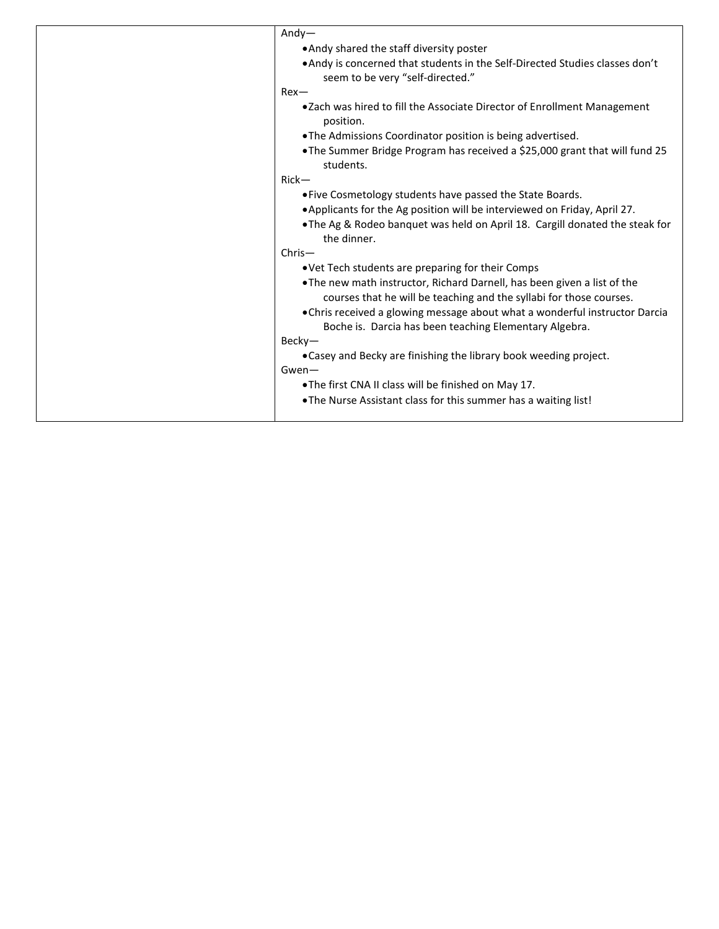| $Andy-$                                                                                                                                         |
|-------------------------------------------------------------------------------------------------------------------------------------------------|
| • Andy shared the staff diversity poster                                                                                                        |
| • Andy is concerned that students in the Self-Directed Studies classes don't                                                                    |
| seem to be very "self-directed."                                                                                                                |
| $Rex-$                                                                                                                                          |
| •Zach was hired to fill the Associate Director of Enrollment Management<br>position.                                                            |
| . The Admissions Coordinator position is being advertised.                                                                                      |
| • The Summer Bridge Program has received a \$25,000 grant that will fund 25<br>students.                                                        |
| $Rick-$                                                                                                                                         |
| • Five Cosmetology students have passed the State Boards.                                                                                       |
| • Applicants for the Ag position will be interviewed on Friday, April 27.                                                                       |
| . The Ag & Rodeo banquet was held on April 18. Cargill donated the steak for<br>the dinner.                                                     |
| $Chris-$                                                                                                                                        |
| . Vet Tech students are preparing for their Comps                                                                                               |
| . The new math instructor, Richard Darnell, has been given a list of the<br>courses that he will be teaching and the syllabi for those courses. |
| • Chris received a glowing message about what a wonderful instructor Darcia                                                                     |
| Boche is. Darcia has been teaching Elementary Algebra.                                                                                          |
| $Becky-$                                                                                                                                        |
| • Casey and Becky are finishing the library book weeding project.                                                                               |
| $Gwen-$                                                                                                                                         |
| .The first CNA II class will be finished on May 17.                                                                                             |
| . The Nurse Assistant class for this summer has a waiting list!                                                                                 |
|                                                                                                                                                 |
|                                                                                                                                                 |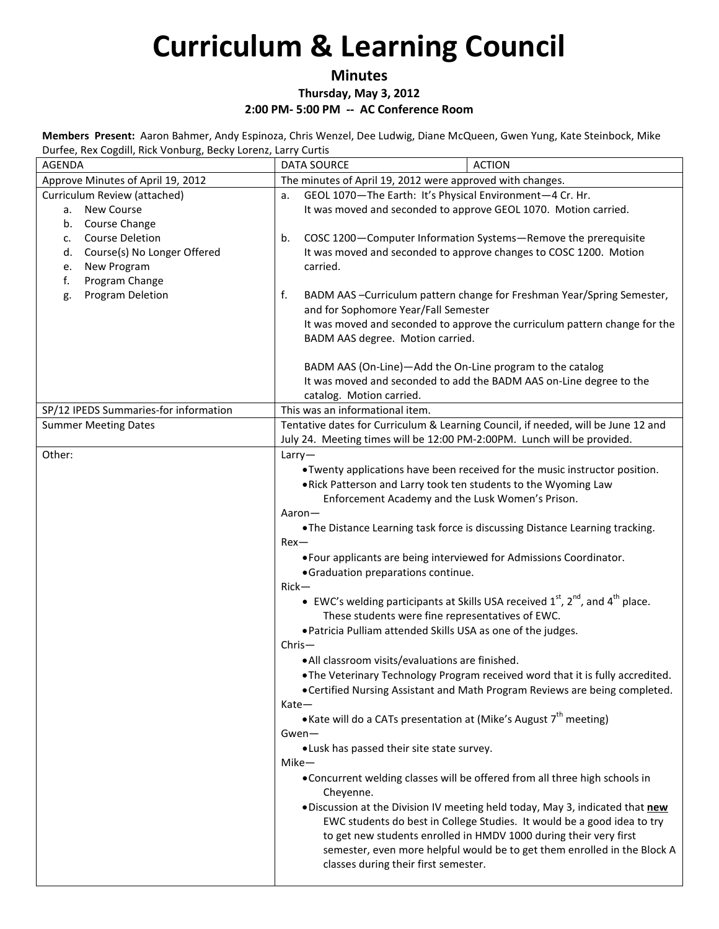## **Minutes**

**Thursday, May 3, 2012**

**2:00 PM- 5:00 PM -- AC Conference Room**

**Members Present:** Aaron Bahmer, Andy Espinoza, Chris Wenzel, Dee Ludwig, Diane McQueen, Gwen Yung, Kate Steinbock, Mike Durfee, Rex Cogdill, Rick Vonburg, Becky Lorenz, Larry Curtis

| ando, non oogani, mon comoaig, boon,<br>AGENDA | <b>ACTION</b><br><b>DATA SOURCE</b>                                                           |
|------------------------------------------------|-----------------------------------------------------------------------------------------------|
| Approve Minutes of April 19, 2012              | The minutes of April 19, 2012 were approved with changes.                                     |
| Curriculum Review (attached)                   | GEOL 1070-The Earth: It's Physical Environment-4 Cr. Hr.<br>a.                                |
| a. New Course                                  | It was moved and seconded to approve GEOL 1070. Motion carried.                               |
| Course Change<br>b.                            |                                                                                               |
| <b>Course Deletion</b><br>c.                   | COSC 1200-Computer Information Systems-Remove the prerequisite<br>b.                          |
| Course(s) No Longer Offered<br>d.              | It was moved and seconded to approve changes to COSC 1200. Motion                             |
| New Program<br>e.                              | carried.                                                                                      |
| Program Change<br>f.                           |                                                                                               |
| Program Deletion<br>g.                         | f.<br>BADM AAS -Curriculum pattern change for Freshman Year/Spring Semester,                  |
|                                                | and for Sophomore Year/Fall Semester                                                          |
|                                                | It was moved and seconded to approve the curriculum pattern change for the                    |
|                                                | BADM AAS degree. Motion carried.                                                              |
|                                                | BADM AAS (On-Line)-Add the On-Line program to the catalog                                     |
|                                                | It was moved and seconded to add the BADM AAS on-Line degree to the                           |
|                                                | catalog. Motion carried.                                                                      |
| SP/12 IPEDS Summaries-for information          | This was an informational item.                                                               |
| <b>Summer Meeting Dates</b>                    | Tentative dates for Curriculum & Learning Council, if needed, will be June 12 and             |
|                                                | July 24. Meeting times will be 12:00 PM-2:00PM. Lunch will be provided.                       |
| Other:                                         | Larry                                                                                         |
|                                                | . Twenty applications have been received for the music instructor position.                   |
|                                                | . Rick Patterson and Larry took ten students to the Wyoming Law                               |
|                                                | Enforcement Academy and the Lusk Women's Prison.                                              |
|                                                | Aaron-                                                                                        |
|                                                | . The Distance Learning task force is discussing Distance Learning tracking.                  |
|                                                | $Rex$ —                                                                                       |
|                                                | . Four applicants are being interviewed for Admissions Coordinator.                           |
|                                                | · Graduation preparations continue.                                                           |
|                                                | $Rick-$                                                                                       |
|                                                | • EWC's welding participants at Skills USA received $1^{st}$ , $2^{nd}$ , and $4^{th}$ place. |
|                                                | These students were fine representatives of EWC.                                              |
|                                                | . Patricia Pulliam attended Skills USA as one of the judges.                                  |
|                                                | $Christ-$                                                                                     |
|                                                | · All classroom visits/evaluations are finished.                                              |
|                                                | . The Veterinary Technology Program received word that it is fully accredited.                |
|                                                | • Certified Nursing Assistant and Math Program Reviews are being completed.                   |
|                                                | Kate-<br>• Kate will do a CATs presentation at (Mike's August 7 <sup>th</sup> meeting)        |
|                                                | Gwen-                                                                                         |
|                                                | . Lusk has passed their site state survey.                                                    |
|                                                | Mike-                                                                                         |
|                                                | . Concurrent welding classes will be offered from all three high schools in                   |
|                                                | Cheyenne.                                                                                     |
|                                                | . Discussion at the Division IV meeting held today, May 3, indicated that new                 |
|                                                | EWC students do best in College Studies. It would be a good idea to try                       |
|                                                | to get new students enrolled in HMDV 1000 during their very first                             |
|                                                | semester, even more helpful would be to get them enrolled in the Block A                      |
|                                                | classes during their first semester.                                                          |
|                                                |                                                                                               |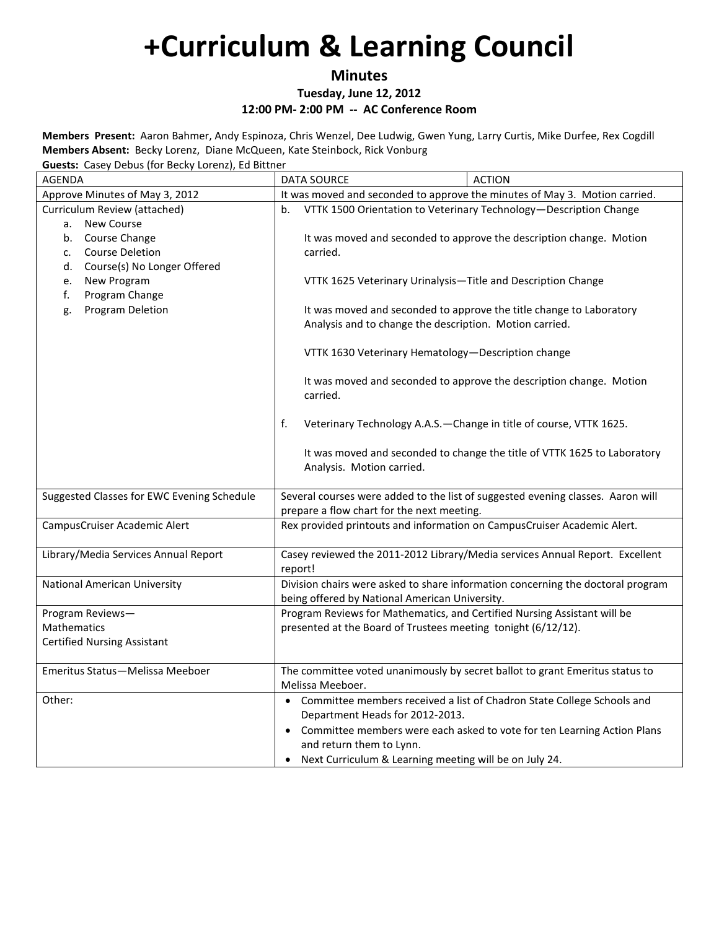**Minutes**

**Tuesday, June 12, 2012**

**12:00 PM- 2:00 PM -- AC Conference Room**

**Members Present:** Aaron Bahmer, Andy Espinoza, Chris Wenzel, Dee Ludwig, Gwen Yung, Larry Curtis, Mike Durfee, Rex Cogdill **Members Absent:** Becky Lorenz, Diane McQueen, Kate Steinbock, Rick Vonburg **Guests:** Casey Debus (for Becky Lorenz), Ed Bittner

| <b>Sucsis.</b> Casey Debus (for beeny Lorenz), La bittifer<br><b>AGENDA</b> | <b>DATA SOURCE</b>                                                              | <b>ACTION</b>                                                                   |
|-----------------------------------------------------------------------------|---------------------------------------------------------------------------------|---------------------------------------------------------------------------------|
| Approve Minutes of May 3, 2012                                              |                                                                                 | It was moved and seconded to approve the minutes of May 3. Motion carried.      |
| Curriculum Review (attached)                                                | VTTK 1500 Orientation to Veterinary Technology-Description Change<br>b.         |                                                                                 |
| New Course<br>a.                                                            |                                                                                 |                                                                                 |
| b. Course Change                                                            | It was moved and seconded to approve the description change. Motion             |                                                                                 |
| <b>Course Deletion</b><br>c.                                                | carried.                                                                        |                                                                                 |
| Course(s) No Longer Offered<br>d.                                           |                                                                                 |                                                                                 |
| New Program<br>e.                                                           | VTTK 1625 Veterinary Urinalysis-Title and Description Change                    |                                                                                 |
| f.<br>Program Change                                                        |                                                                                 |                                                                                 |
| <b>Program Deletion</b><br>g.                                               | It was moved and seconded to approve the title change to Laboratory             |                                                                                 |
|                                                                             | Analysis and to change the description. Motion carried.                         |                                                                                 |
|                                                                             |                                                                                 |                                                                                 |
|                                                                             | VTTK 1630 Veterinary Hematology-Description change                              |                                                                                 |
|                                                                             |                                                                                 | It was moved and seconded to approve the description change. Motion             |
|                                                                             | carried.                                                                        |                                                                                 |
|                                                                             |                                                                                 |                                                                                 |
|                                                                             | f.                                                                              | Veterinary Technology A.A.S. - Change in title of course, VTTK 1625.            |
|                                                                             |                                                                                 | It was moved and seconded to change the title of VTTK 1625 to Laboratory        |
|                                                                             | Analysis. Motion carried.                                                       |                                                                                 |
|                                                                             |                                                                                 |                                                                                 |
| Suggested Classes for EWC Evening Schedule                                  | Several courses were added to the list of suggested evening classes. Aaron will |                                                                                 |
|                                                                             | prepare a flow chart for the next meeting.                                      |                                                                                 |
| CampusCruiser Academic Alert                                                |                                                                                 | Rex provided printouts and information on CampusCruiser Academic Alert.         |
|                                                                             |                                                                                 |                                                                                 |
| Library/Media Services Annual Report                                        | Casey reviewed the 2011-2012 Library/Media services Annual Report. Excellent    |                                                                                 |
| National American University                                                | report!                                                                         | Division chairs were asked to share information concerning the doctoral program |
|                                                                             | being offered by National American University.                                  |                                                                                 |
| Program Reviews-                                                            |                                                                                 | Program Reviews for Mathematics, and Certified Nursing Assistant will be        |
| <b>Mathematics</b>                                                          | presented at the Board of Trustees meeting tonight (6/12/12).                   |                                                                                 |
| <b>Certified Nursing Assistant</b>                                          |                                                                                 |                                                                                 |
|                                                                             |                                                                                 |                                                                                 |
| Emeritus Status-Melissa Meeboer                                             |                                                                                 | The committee voted unanimously by secret ballot to grant Emeritus status to    |
|                                                                             | Melissa Meeboer.                                                                |                                                                                 |
| Other:                                                                      |                                                                                 | • Committee members received a list of Chadron State College Schools and        |
|                                                                             | Department Heads for 2012-2013.                                                 |                                                                                 |
|                                                                             |                                                                                 | • Committee members were each asked to vote for ten Learning Action Plans       |
|                                                                             | and return them to Lynn.                                                        |                                                                                 |
|                                                                             | Next Curriculum & Learning meeting will be on July 24.                          |                                                                                 |